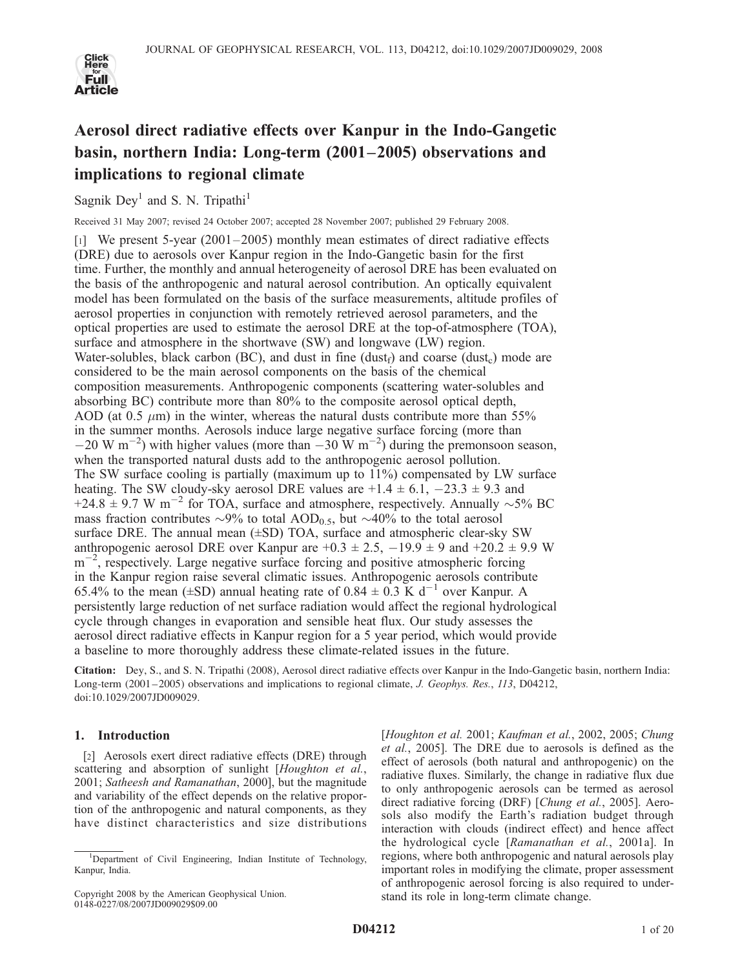

# Aerosol direct radiative effects over Kanpur in the Indo-Gangetic basin, northern India: Long-term (2001–2005) observations and implications to regional climate

Sagnik Dey<sup>1</sup> and S. N. Tripathi<sup>1</sup>

Received 31 May 2007; revised 24 October 2007; accepted 28 November 2007; published 29 February 2008.

[1] We present 5-year (2001–2005) monthly mean estimates of direct radiative effects (DRE) due to aerosols over Kanpur region in the Indo-Gangetic basin for the first time. Further, the monthly and annual heterogeneity of aerosol DRE has been evaluated on the basis of the anthropogenic and natural aerosol contribution. An optically equivalent model has been formulated on the basis of the surface measurements, altitude profiles of aerosol properties in conjunction with remotely retrieved aerosol parameters, and the optical properties are used to estimate the aerosol DRE at the top-of-atmosphere (TOA), surface and atmosphere in the shortwave (SW) and longwave (LW) region. Water-solubles, black carbon (BC), and dust in fine (dust<sub>f</sub>) and coarse (dust<sub>c</sub>) mode are considered to be the main aerosol components on the basis of the chemical composition measurements. Anthropogenic components (scattering water-solubles and absorbing BC) contribute more than 80% to the composite aerosol optical depth, AOD (at 0.5  $\mu$ m) in the winter, whereas the natural dusts contribute more than 55% in the summer months. Aerosols induce large negative surface forcing (more than  $-20 \text{ W m}^{-2}$ ) with higher values (more than  $-30 \text{ W m}^{-2}$ ) during the premonsoon season, when the transported natural dusts add to the anthropogenic aerosol pollution. The SW surface cooling is partially (maximum up to 11%) compensated by LW surface heating. The SW cloudy-sky aerosol DRE values are  $+1.4 \pm 6.1$ ,  $-23.3 \pm 9.3$  and +24.8  $\pm$  9.7 W m<sup>-2</sup> for TOA, surface and atmosphere, respectively. Annually  $\sim$ 5% BC mass fraction contributes  $\sim 9\%$  to total AOD<sub>0.5</sub>, but  $\sim 40\%$  to the total aerosol surface DRE. The annual mean (±SD) TOA, surface and atmospheric clear-sky SW anthropogenic aerosol DRE over Kanpur are  $+0.3 \pm 2.5$ ,  $-19.9 \pm 9$  and  $+20.2 \pm 9.9$  W  $m^{-2}$ , respectively. Large negative surface forcing and positive atmospheric forcing in the Kanpur region raise several climatic issues. Anthropogenic aerosols contribute 65.4% to the mean ( $\pm$ SD) annual heating rate of 0.84  $\pm$  0.3 K d<sup>-1</sup> over Kanpur. A persistently large reduction of net surface radiation would affect the regional hydrological cycle through changes in evaporation and sensible heat flux. Our study assesses the aerosol direct radiative effects in Kanpur region for a 5 year period, which would provide a baseline to more thoroughly address these climate-related issues in the future.

Citation: Dey, S., and S. N. Tripathi (2008), Aerosol direct radiative effects over Kanpur in the Indo-Gangetic basin, northern India: Long-term (2001–2005) observations and implications to regional climate, J. Geophys. Res., 113, D04212, doi:10.1029/2007JD009029.

## 1. Introduction

[2] Aerosols exert direct radiative effects (DRE) through scattering and absorption of sunlight [Houghton et al., 2001; Satheesh and Ramanathan, 2000], but the magnitude and variability of the effect depends on the relative proportion of the anthropogenic and natural components, as they have distinct characteristics and size distributions

[Houghton et al. 2001; Kaufman et al., 2002, 2005; Chung et al., 2005]. The DRE due to aerosols is defined as the effect of aerosols (both natural and anthropogenic) on the radiative fluxes. Similarly, the change in radiative flux due to only anthropogenic aerosols can be termed as aerosol direct radiative forcing (DRF) [Chung et al., 2005]. Aerosols also modify the Earth's radiation budget through interaction with clouds (indirect effect) and hence affect the hydrological cycle [Ramanathan et al., 2001a]. In regions, where both anthropogenic and natural aerosols play important roles in modifying the climate, proper assessment of anthropogenic aerosol forcing is also required to understand its role in long-term climate change.

<sup>&</sup>lt;sup>1</sup>Department of Civil Engineering, Indian Institute of Technology, Kanpur, India.

Copyright 2008 by the American Geophysical Union. 0148-0227/08/2007JD009029\$09.00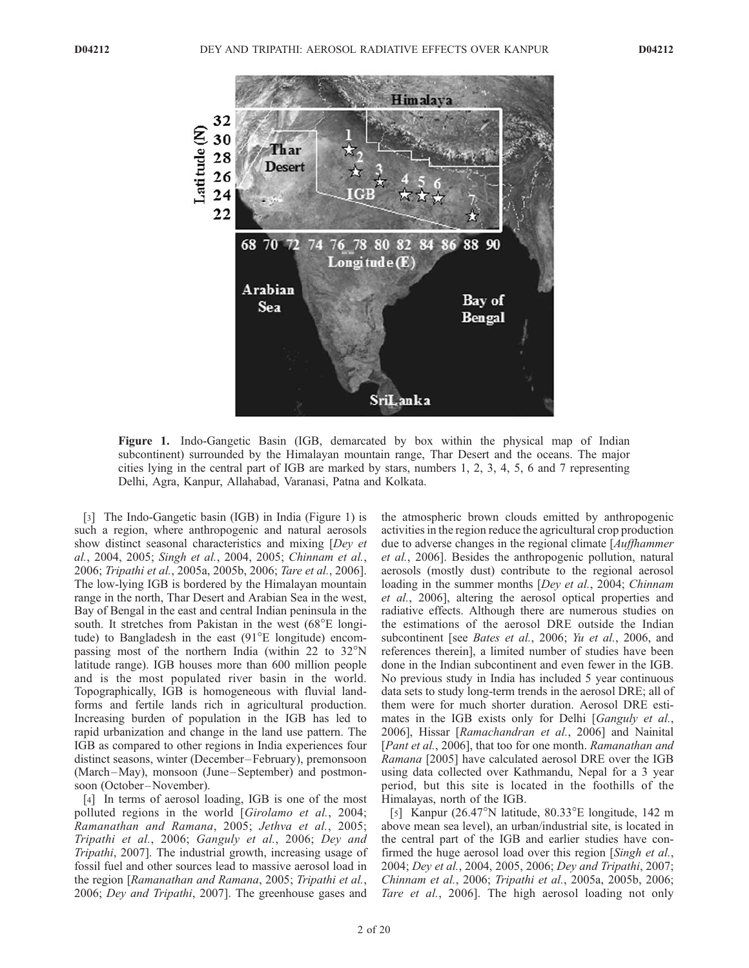

Figure 1. Indo-Gangetic Basin (IGB, demarcated by box within the physical map of Indian subcontinent) surrounded by the Himalayan mountain range, Thar Desert and the oceans. The major cities lying in the central part of IGB are marked by stars, numbers 1, 2, 3, 4, 5, 6 and 7 representing Delhi, Agra, Kanpur, Allahabad, Varanasi, Patna and Kolkata.

[3] The Indo-Gangetic basin (IGB) in India (Figure 1) is such a region, where anthropogenic and natural aerosols show distinct seasonal characteristics and mixing [Dey et al., 2004, 2005; Singh et al., 2004, 2005; Chinnam et al., 2006; Tripathi et al., 2005a, 2005b, 2006; Tare et al., 2006]. The low-lying IGB is bordered by the Himalayan mountain range in the north, Thar Desert and Arabian Sea in the west, Bay of Bengal in the east and central Indian peninsula in the south. It stretches from Pakistan in the west  $(68^{\circ}E \text{ longi-}$ tude) to Bangladesh in the east  $(91^{\circ}E)$  longitude) encompassing most of the northern India (within 22 to  $32^{\circ}$ N latitude range). IGB houses more than 600 million people and is the most populated river basin in the world. Topographically, IGB is homogeneous with fluvial landforms and fertile lands rich in agricultural production. Increasing burden of population in the IGB has led to rapid urbanization and change in the land use pattern. The IGB as compared to other regions in India experiences four distinct seasons, winter (December –February), premonsoon (March-May), monsoon (June-September) and postmonsoon (October –November).

[4] In terms of aerosol loading, IGB is one of the most polluted regions in the world [Girolamo et al., 2004; Ramanathan and Ramana, 2005; Jethva et al., 2005; Tripathi et al., 2006; Ganguly et al., 2006; Dey and Tripathi, 2007]. The industrial growth, increasing usage of fossil fuel and other sources lead to massive aerosol load in the region [Ramanathan and Ramana, 2005; Tripathi et al., 2006; Dey and Tripathi, 2007]. The greenhouse gases and the atmospheric brown clouds emitted by anthropogenic activities in the region reduce the agricultural crop production due to adverse changes in the regional climate [Auffhammer et al., 2006]. Besides the anthropogenic pollution, natural aerosols (mostly dust) contribute to the regional aerosol loading in the summer months [Dey et al., 2004; Chinnam et al., 2006], altering the aerosol optical properties and radiative effects. Although there are numerous studies on the estimations of the aerosol DRE outside the Indian subcontinent [see Bates et al., 2006; Yu et al., 2006, and references therein], a limited number of studies have been done in the Indian subcontinent and even fewer in the IGB. No previous study in India has included 5 year continuous data sets to study long-term trends in the aerosol DRE; all of them were for much shorter duration. Aerosol DRE estimates in the IGB exists only for Delhi [Ganguly et al., 2006], Hissar [Ramachandran et al., 2006] and Nainital [Pant et al., 2006], that too for one month. Ramanathan and Ramana [2005] have calculated aerosol DRE over the IGB using data collected over Kathmandu, Nepal for a 3 year period, but this site is located in the foothills of the Himalayas, north of the IGB.

[5] Kanpur (26.47 $\textdegree$ N latitude, 80.33 $\textdegree$ E longitude, 142 m above mean sea level), an urban/industrial site, is located in the central part of the IGB and earlier studies have confirmed the huge aerosol load over this region [Singh et al., 2004; Dey et al., 2004, 2005, 2006; Dey and Tripathi, 2007; Chinnam et al., 2006; Tripathi et al., 2005a, 2005b, 2006; Tare et al., 2006]. The high aerosol loading not only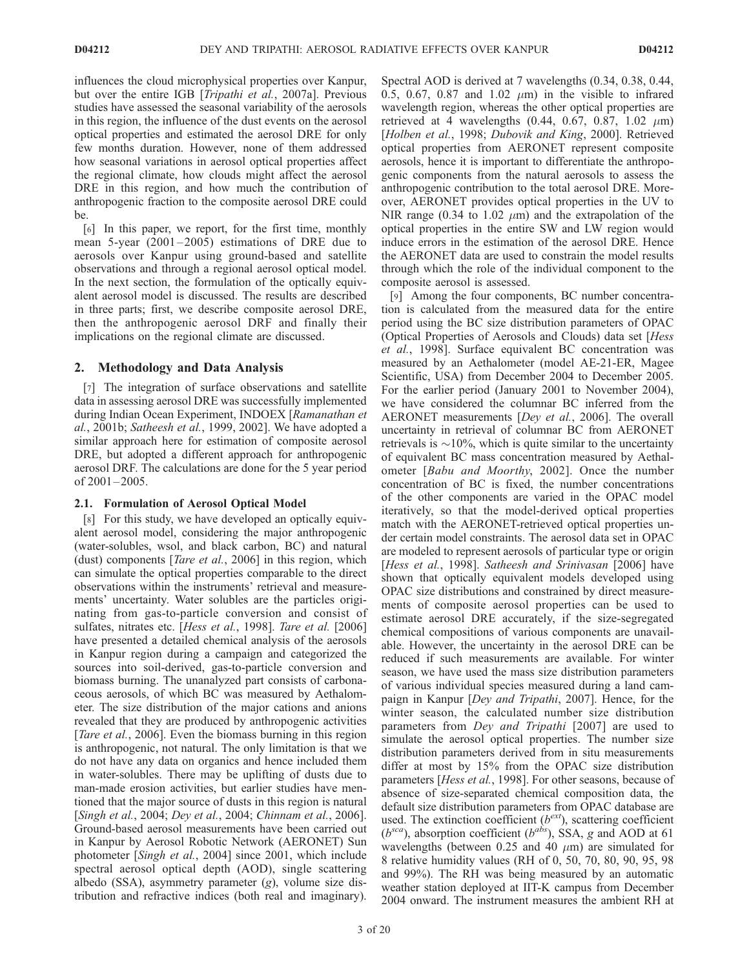influences the cloud microphysical properties over Kanpur, but over the entire IGB [Tripathi et al., 2007a]. Previous studies have assessed the seasonal variability of the aerosols in this region, the influence of the dust events on the aerosol optical properties and estimated the aerosol DRE for only few months duration. However, none of them addressed how seasonal variations in aerosol optical properties affect the regional climate, how clouds might affect the aerosol DRE in this region, and how much the contribution of anthropogenic fraction to the composite aerosol DRE could be.

[6] In this paper, we report, for the first time, monthly mean  $5$ -year  $(2001 - 2005)$  estimations of DRE due to aerosols over Kanpur using ground-based and satellite observations and through a regional aerosol optical model. In the next section, the formulation of the optically equivalent aerosol model is discussed. The results are described in three parts; first, we describe composite aerosol DRE, then the anthropogenic aerosol DRF and finally their implications on the regional climate are discussed.

## 2. Methodology and Data Analysis

[7] The integration of surface observations and satellite data in assessing aerosol DRE was successfully implemented during Indian Ocean Experiment, INDOEX [Ramanathan et al., 2001b; Satheesh et al., 1999, 2002]. We have adopted a similar approach here for estimation of composite aerosol DRE, but adopted a different approach for anthropogenic aerosol DRF. The calculations are done for the 5 year period of 2001-2005.

## 2.1. Formulation of Aerosol Optical Model

[8] For this study, we have developed an optically equivalent aerosol model, considering the major anthropogenic (water-solubles, wsol, and black carbon, BC) and natural (dust) components [Tare et al., 2006] in this region, which can simulate the optical properties comparable to the direct observations within the instruments' retrieval and measurements' uncertainty. Water solubles are the particles originating from gas-to-particle conversion and consist of sulfates, nitrates etc. [Hess et al., 1998]. Tare et al. [2006] have presented a detailed chemical analysis of the aerosols in Kanpur region during a campaign and categorized the sources into soil-derived, gas-to-particle conversion and biomass burning. The unanalyzed part consists of carbonaceous aerosols, of which BC was measured by Aethalometer. The size distribution of the major cations and anions revealed that they are produced by anthropogenic activities [*Tare et al.*, 2006]. Even the biomass burning in this region is anthropogenic, not natural. The only limitation is that we do not have any data on organics and hence included them in water-solubles. There may be uplifting of dusts due to man-made erosion activities, but earlier studies have mentioned that the major source of dusts in this region is natural [Singh et al., 2004; Dey et al., 2004; Chinnam et al., 2006]. Ground-based aerosol measurements have been carried out in Kanpur by Aerosol Robotic Network (AERONET) Sun photometer [Singh et al., 2004] since 2001, which include spectral aerosol optical depth (AOD), single scattering albedo (SSA), asymmetry parameter (g), volume size distribution and refractive indices (both real and imaginary).

Spectral AOD is derived at 7 wavelengths (0.34, 0.38, 0.44, 0.5, 0.67, 0.87 and 1.02  $\mu$ m) in the visible to infrared wavelength region, whereas the other optical properties are retrieved at 4 wavelengths  $(0.44, 0.67, 0.87, 1.02 \mu m)$ [Holben et al., 1998; Dubovik and King, 2000]. Retrieved optical properties from AERONET represent composite aerosols, hence it is important to differentiate the anthropogenic components from the natural aerosols to assess the anthropogenic contribution to the total aerosol DRE. Moreover, AERONET provides optical properties in the UV to NIR range (0.34 to 1.02  $\mu$ m) and the extrapolation of the optical properties in the entire SW and LW region would induce errors in the estimation of the aerosol DRE. Hence the AERONET data are used to constrain the model results through which the role of the individual component to the composite aerosol is assessed.

[9] Among the four components, BC number concentration is calculated from the measured data for the entire period using the BC size distribution parameters of OPAC (Optical Properties of Aerosols and Clouds) data set [Hess et al., 1998]. Surface equivalent BC concentration was measured by an Aethalometer (model AE-21-ER, Magee Scientific, USA) from December 2004 to December 2005. For the earlier period (January 2001 to November 2004), we have considered the columnar BC inferred from the AERONET measurements [Dey et al., 2006]. The overall uncertainty in retrieval of columnar BC from AERONET retrievals is  $\sim$ 10%, which is quite similar to the uncertainty of equivalent BC mass concentration measured by Aethalometer [Babu and Moorthy, 2002]. Once the number concentration of BC is fixed, the number concentrations of the other components are varied in the OPAC model iteratively, so that the model-derived optical properties match with the AERONET-retrieved optical properties under certain model constraints. The aerosol data set in OPAC are modeled to represent aerosols of particular type or origin [Hess et al., 1998]. Satheesh and Srinivasan [2006] have shown that optically equivalent models developed using OPAC size distributions and constrained by direct measurements of composite aerosol properties can be used to estimate aerosol DRE accurately, if the size-segregated chemical compositions of various components are unavailable. However, the uncertainty in the aerosol DRE can be reduced if such measurements are available. For winter season, we have used the mass size distribution parameters of various individual species measured during a land campaign in Kanpur [Dey and Tripathi, 2007]. Hence, for the winter season, the calculated number size distribution parameters from Dey and Tripathi [2007] are used to simulate the aerosol optical properties. The number size distribution parameters derived from in situ measurements differ at most by 15% from the OPAC size distribution parameters [Hess et al., 1998]. For other seasons, because of absence of size-separated chemical composition data, the default size distribution parameters from OPAC database are used. The extinction coefficient  $(b^{ext})$ , scattering coefficient  $(b^{sca})$ , absorption coefficient  $(b^{abs})$ , SSA, g and AOD at 61 wavelengths (between 0.25 and 40  $\mu$ m) are simulated for 8 relative humidity values (RH of 0, 50, 70, 80, 90, 95, 98 and 99%). The RH was being measured by an automatic weather station deployed at IIT-K campus from December 2004 onward. The instrument measures the ambient RH at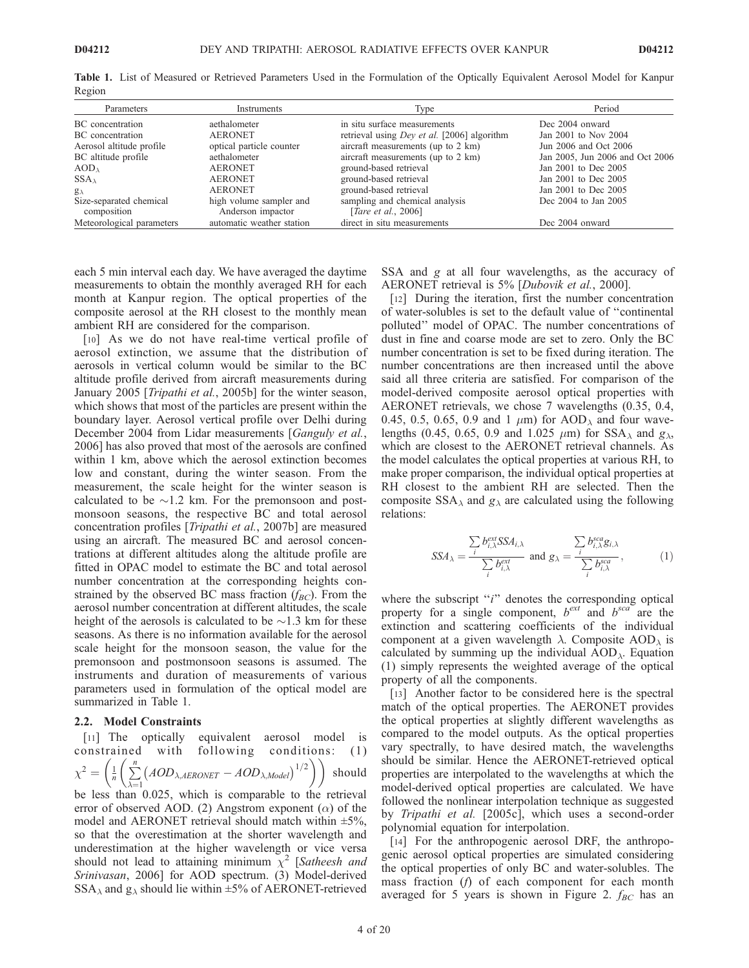| Parameters                | Instruments               | Type                                        | Period                          |
|---------------------------|---------------------------|---------------------------------------------|---------------------------------|
| BC concentration          | aethalometer              | in situ surface measurements                | Dec 2004 onward                 |
| BC concentration          | <b>AERONET</b>            | retrieval using Dey et al. [2006] algorithm | Jan 2001 to Nov 2004            |
| Aerosol altitude profile  | optical particle counter  | aircraft measurements (up to 2 km)          | Jun 2006 and Oct 2006           |
| BC altitude profile       | aethalometer              | aircraft measurements (up to 2 km)          | Jan 2005, Jun 2006 and Oct 2006 |
| $AOD\lambda$              | <b>AERONET</b>            | ground-based retrieval                      | Jan 2001 to Dec 2005            |
| $SSA_{\lambda}$           | <b>AERONET</b>            | ground-based retrieval                      | Jan 2001 to Dec 2005            |
| $g_{\lambda}$             | <b>AERONET</b>            | ground-based retrieval                      | Jan 2001 to Dec 2005            |
| Size-separated chemical   | high volume sampler and   | sampling and chemical analysis              | Dec 2004 to Jan 2005            |
| composition               | Anderson impactor         | [ <i>Tare et al., 2006</i> ]                |                                 |
| Meteorological parameters | automatic weather station | direct in situ measurements                 | Dec 2004 onward                 |

Table 1. List of Measured or Retrieved Parameters Used in the Formulation of the Optically Equivalent Aerosol Model for Kanpur Region

each 5 min interval each day. We have averaged the daytime measurements to obtain the monthly averaged RH for each month at Kanpur region. The optical properties of the composite aerosol at the RH closest to the monthly mean ambient RH are considered for the comparison.

[10] As we do not have real-time vertical profile of aerosol extinction, we assume that the distribution of aerosols in vertical column would be similar to the BC altitude profile derived from aircraft measurements during January 2005 [*Tripathi et al.*, 2005b] for the winter season, which shows that most of the particles are present within the boundary layer. Aerosol vertical profile over Delhi during December 2004 from Lidar measurements [Ganguly et al., 2006] has also proved that most of the aerosols are confined within 1 km, above which the aerosol extinction becomes low and constant, during the winter season. From the measurement, the scale height for the winter season is calculated to be  $\sim$ 1.2 km. For the premonsoon and postmonsoon seasons, the respective BC and total aerosol concentration profiles [Tripathi et al., 2007b] are measured using an aircraft. The measured BC and aerosol concentrations at different altitudes along the altitude profile are fitted in OPAC model to estimate the BC and total aerosol number concentration at the corresponding heights constrained by the observed BC mass fraction  $(f_{BC})$ . From the aerosol number concentration at different altitudes, the scale height of the aerosols is calculated to be  $\sim$ 1.3 km for these seasons. As there is no information available for the aerosol scale height for the monsoon season, the value for the premonsoon and postmonsoon seasons is assumed. The instruments and duration of measurements of various parameters used in formulation of the optical model are summarized in Table 1.

#### 2.2. Model Constraints

[11] The optically equivalent aerosol model is constrained with following conditions: (1)  $\chi^2 = \left(\frac{1}{n}\right)$  $\stackrel{n}{\longleftarrow}$  $\left(\frac{1}{n}\left(\sum_{\lambda=1}^{n}(AOD_{\lambda, AERONET} - AOD_{\lambda, Model})^{1/2}\right)\right)$ should be less than 0.025, which is comparable to the retrieval error of observed AOD. (2) Angstrom exponent  $(\alpha)$  of the model and AERONET retrieval should match within  $\pm 5\%$ , so that the overestimation at the shorter wavelength and underestimation at the higher wavelength or vice versa should not lead to attaining minimum  $\chi^2$  [Satheesh and Srinivasan, 2006] for AOD spectrum. (3) Model-derived  $SSA_{\lambda}$  and  $g_{\lambda}$  should lie within  $\pm 5\%$  of AERONET-retrieved SSA and g at all four wavelengths, as the accuracy of AERONET retrieval is 5% [Dubovik et al., 2000].

[12] During the iteration, first the number concentration of water-solubles is set to the default value of ''continental polluted'' model of OPAC. The number concentrations of dust in fine and coarse mode are set to zero. Only the BC number concentration is set to be fixed during iteration. The number concentrations are then increased until the above said all three criteria are satisfied. For comparison of the model-derived composite aerosol optical properties with AERONET retrievals, we chose 7 wavelengths (0.35, 0.4, 0.45, 0.5, 0.65, 0.9 and 1  $\mu$ m) for AOD<sub> $\lambda$ </sub> and four wavelengths (0.45, 0.65, 0.9 and 1.025  $\mu$ m) for SSA<sub> $\lambda$ </sub> and  $g_{\lambda}$ , which are closest to the AERONET retrieval channels. As the model calculates the optical properties at various RH, to make proper comparison, the individual optical properties at RH closest to the ambient RH are selected. Then the composite  $SSA_{\lambda}$  and  $g_{\lambda}$  are calculated using the following relations:

$$
SSA_{\lambda} = \frac{\sum_{i} b_{i,\lambda}^{ext} SSA_{i,\lambda}}{\sum_{i} b_{i,\lambda}^{ext}} \text{ and } g_{\lambda} = \frac{\sum_{i} b_{i,\lambda}^{sca} g_{i,\lambda}}{\sum_{i} b_{i,\lambda}^{sca}}, \qquad (1)
$$

where the subscript "i" denotes the corresponding optical property for a single component,  $b^{ext}$  and  $b^{sca}$  are the extinction and scattering coefficients of the individual component at a given wavelength  $\lambda$ . Composite AOD<sub> $\lambda$ </sub> is calculated by summing up the individual  $AOD_\lambda$ . Equation (1) simply represents the weighted average of the optical property of all the components.

[13] Another factor to be considered here is the spectral match of the optical properties. The AERONET provides the optical properties at slightly different wavelengths as compared to the model outputs. As the optical properties vary spectrally, to have desired match, the wavelengths should be similar. Hence the AERONET-retrieved optical properties are interpolated to the wavelengths at which the model-derived optical properties are calculated. We have followed the nonlinear interpolation technique as suggested by Tripathi et al. [2005c], which uses a second-order polynomial equation for interpolation.

[14] For the anthropogenic aerosol DRF, the anthropogenic aerosol optical properties are simulated considering the optical properties of only BC and water-solubles. The mass fraction (f) of each component for each month averaged for 5 years is shown in Figure 2.  $f_{BC}$  has an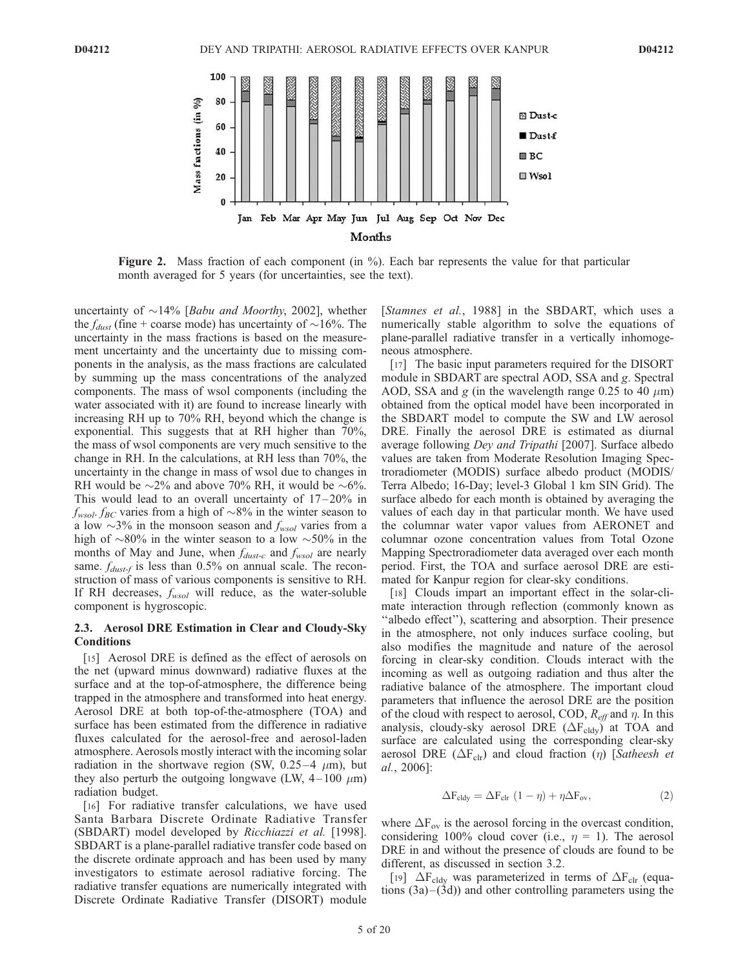

Figure 2. Mass fraction of each component (in %). Each bar represents the value for that particular month averaged for 5 years (for uncertainties, see the text).

uncertainty of  $\sim$ 14% [*Babu and Moorthy*, 2002], whether the  $f_{dust}$  (fine + coarse mode) has uncertainty of  $\sim$ 16%. The uncertainty in the mass fractions is based on the measurement uncertainty and the uncertainty due to missing components in the analysis, as the mass fractions are calculated by summing up the mass concentrations of the analyzed components. The mass of wsol components (including the water associated with it) are found to increase linearly with increasing RH up to 70% RH, beyond which the change is exponential. This suggests that at RH higher than 70%, the mass of wsol components are very much sensitive to the change in RH. In the calculations, at RH less than 70%, the uncertainty in the change in mass of wsol due to changes in RH would be  $\sim$ 2% and above 70% RH, it would be  $\sim$ 6%. This would lead to an overall uncertainty of  $17-20\%$  in  $f_{\text{wsol}}$ .  $f_{\text{BC}}$  varies from a high of  $\sim$ 8% in the winter season to a low  $\sim$ 3% in the monsoon season and  $f_{wsol}$  varies from a high of  $\sim 80\%$  in the winter season to a low  $\sim 50\%$  in the months of May and June, when  $f_{dust-c}$  and  $f_{wsol}$  are nearly same.  $f_{dust-f}$  is less than 0.5% on annual scale. The reconstruction of mass of various components is sensitive to RH. If RH decreases,  $f_{wsol}$  will reduce, as the water-soluble component is hygroscopic.

#### 2.3. Aerosol DRE Estimation in Clear and Cloudy-Sky **Conditions**

[15] Aerosol DRE is defined as the effect of aerosols on the net (upward minus downward) radiative fluxes at the surface and at the top-of-atmosphere, the difference being trapped in the atmosphere and transformed into heat energy. Aerosol DRE at both top-of-the-atmosphere (TOA) and surface has been estimated from the difference in radiative fluxes calculated for the aerosol-free and aerosol-laden atmosphere. Aerosols mostly interact with the incoming solar radiation in the shortwave region (SW, 0.25-4  $\mu$ m), but they also perturb the outgoing longwave (LW,  $4-100 \mu m$ ) radiation budget.

[16] For radiative transfer calculations, we have used Santa Barbara Discrete Ordinate Radiative Transfer (SBDART) model developed by Ricchiazzi et al. [1998]. SBDART is a plane-parallel radiative transfer code based on the discrete ordinate approach and has been used by many investigators to estimate aerosol radiative forcing. The radiative transfer equations are numerically integrated with Discrete Ordinate Radiative Transfer (DISORT) module

[Stamnes et al., 1988] in the SBDART, which uses a numerically stable algorithm to solve the equations of plane-parallel radiative transfer in a vertically inhomogeneous atmosphere.

[17] The basic input parameters required for the DISORT module in SBDART are spectral AOD, SSA and g. Spectral AOD, SSA and g (in the wavelength range 0.25 to 40  $\mu$ m) obtained from the optical model have been incorporated in the SBDART model to compute the SW and LW aerosol DRE. Finally the aerosol DRE is estimated as diurnal average following Dey and Tripathi [2007]. Surface albedo values are taken from Moderate Resolution Imaging Spectroradiometer (MODIS) surface albedo product (MODIS/ Terra Albedo; 16-Day; level-3 Global 1 km SIN Grid). The surface albedo for each month is obtained by averaging the values of each day in that particular month. We have used the columnar water vapor values from AERONET and columnar ozone concentration values from Total Ozone Mapping Spectroradiometer data averaged over each month period. First, the TOA and surface aerosol DRE are estimated for Kanpur region for clear-sky conditions.

[18] Clouds impart an important effect in the solar-climate interaction through reflection (commonly known as ''albedo effect''), scattering and absorption. Their presence in the atmosphere, not only induces surface cooling, but also modifies the magnitude and nature of the aerosol forcing in clear-sky condition. Clouds interact with the incoming as well as outgoing radiation and thus alter the radiative balance of the atmosphere. The important cloud parameters that influence the aerosol DRE are the position of the cloud with respect to aerosol, COD,  $R_{\text{eff}}$  and  $\eta$ . In this analysis, cloudy-sky aerosol DRE  $(\Delta F_{\text{cdv}})$  at TOA and surface are calculated using the corresponding clear-sky aerosol DRE ( $\Delta F_{\text{clr}}$ ) and cloud fraction ( $\eta$ ) [Satheesh et al., 2006]:

$$
\Delta F_{\text{cdy}} = \Delta F_{\text{clr}} (1 - \eta) + \eta \Delta F_{\text{ov}}, \tag{2}
$$

where  $\Delta F_{ov}$  is the aerosol forcing in the overcast condition, considering 100% cloud cover (i.e.,  $\eta = 1$ ). The aerosol DRE in and without the presence of clouds are found to be different, as discussed in section 3.2.

[19]  $\Delta F_{\text{cdy}}$  was parameterized in terms of  $\Delta F_{\text{clr}}$  (equations  $(3a)$ – $(3d)$  and other controlling parameters using the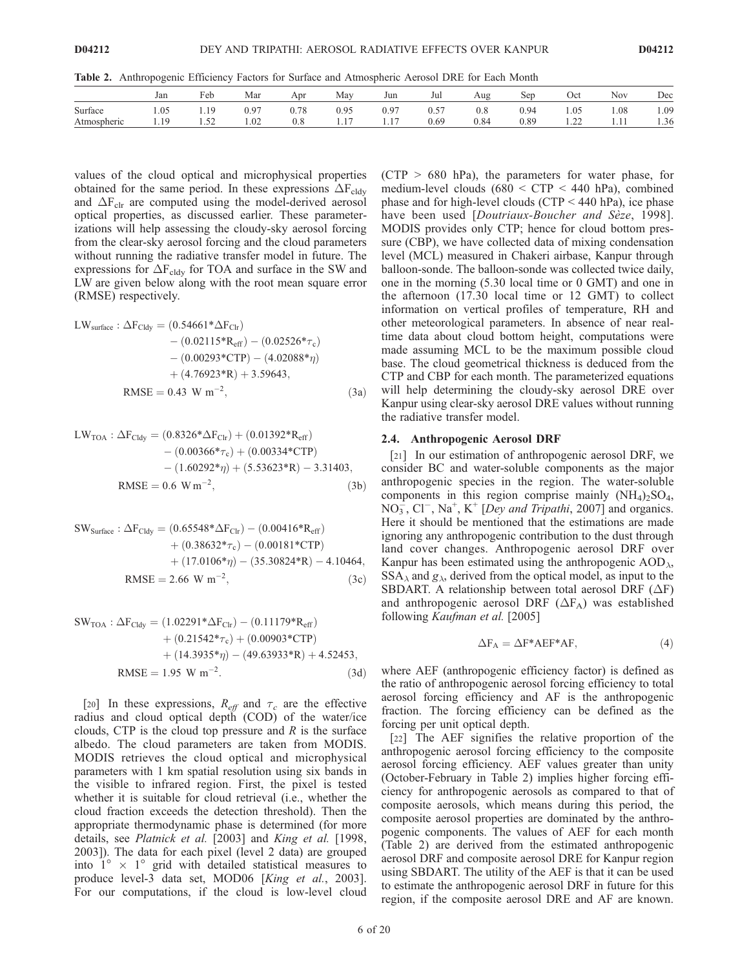Table 2. Anthropogenic Efficiency Factors for Surface and Atmospheric Aerosol DRE for Each Month

|             | Jan  | Feb                | Mar  | Apr       | May  | Jun       | Jul  | Aug       | Ser  | Oct                                                        | Nov  | Dec  |
|-------------|------|--------------------|------|-----------|------|-----------|------|-----------|------|------------------------------------------------------------|------|------|
| Surface     | 1.05 | 1 Q                | 0.97 | $_{0.78}$ | 0.95 | 0.97      | 0.57 | $_{0.8}$  | 0.94 | 1.05                                                       | 1.08 | 1.09 |
| Atmospheric | 1.12 | $\epsilon$<br>1.JZ | 1.02 | $_{0.8}$  | .    | 17<br>1.1 | 0.69 | $_{0.84}$ | 0.89 | $\cap$<br>$\overline{1}$ . $\overline{2}$ . $\overline{3}$ | 1.11 | 1.36 |

values of the cloud optical and microphysical properties obtained for the same period. In these expressions  $\Delta F_{\text{cddy}}$ and  $\Delta F_{\text{clr}}$  are computed using the model-derived aerosol optical properties, as discussed earlier. These parameterizations will help assessing the cloudy-sky aerosol forcing from the clear-sky aerosol forcing and the cloud parameters without running the radiative transfer model in future. The expressions for  $\Delta F_{\text{cdy}}$  for TOA and surface in the SW and LW are given below along with the root mean square error (RMSE) respectively.

$$
LW_{\text{surface}} : \Delta F_{\text{Cldy}} = (0.54661 * \Delta F_{\text{Clr}}) - (0.02115 * R_{\text{eff}}) - (0.02526 * \tau_{\text{c}}) - (0.00293 * \text{CTP}) - (4.02088 * \eta) + (4.76923 * R) + 3.59643,
$$
  
RMSE = 0.43 W m<sup>-2</sup>, (3a)

$$
LW_{\text{TOA}} : \Delta F_{\text{Cldy}} = (0.8326 * \Delta F_{\text{Clr}}) + (0.01392 * R_{\text{eff}})
$$
  
- (0.00366 \* \tau<sub>c</sub>) + (0.00334 \* CTP)  
- (1.60292 \* \eta) + (5.53623 \* R) - 3.31403,  
RMSE = 0.6 W m<sup>-2</sup>, (3b)

$$
SW_{Surface}: \Delta F_{Cldy} = (0.65548 * \Delta F_{Clr}) - (0.00416 * R_{eff}) + (0.38632 * \tau_c) - (0.00181 * CTP) + (17.0106 * \eta) - (35.30824 * R) - 4.10464, RMSE = 2.66 W m-2, (3c)
$$

$$
SW_{TOA}: \Delta F_{Cldy} = (1.02291 * \Delta F_{Clr}) - (0.11179 * R_{eff})
$$
  
+ (0.21542 \* \tau\_c) + (0.00903 \* CTP)  
+ (14.3935 \* \eta) - (49.63933 \* R) + 4.52453,  
RMSE = 1.95 W m<sup>-2</sup>. (3d)

[20] In these expressions,  $R_{\text{eff}}$  and  $\tau_c$  are the effective radius and cloud optical depth (COD) of the water/ice clouds, CTP is the cloud top pressure and  $R$  is the surface albedo. The cloud parameters are taken from MODIS. MODIS retrieves the cloud optical and microphysical parameters with 1 km spatial resolution using six bands in the visible to infrared region. First, the pixel is tested whether it is suitable for cloud retrieval (i.e., whether the cloud fraction exceeds the detection threshold). Then the appropriate thermodynamic phase is determined (for more details, see Platnick et al. [2003] and King et al. [1998, 2003]). The data for each pixel (level 2 data) are grouped into  $1^{\circ} \times 1^{\circ}$  grid with detailed statistical measures to produce level-3 data set, MOD06 [King et al., 2003]. For our computations, if the cloud is low-level cloud  $(CTP > 680$  hPa), the parameters for water phase, for medium-level clouds (680 < CTP < 440 hPa), combined phase and for high-level clouds (CTP < 440 hPa), ice phase have been used [Doutriaux-Boucher and Sèze, 1998]. MODIS provides only CTP; hence for cloud bottom pressure (CBP), we have collected data of mixing condensation level (MCL) measured in Chakeri airbase, Kanpur through balloon-sonde. The balloon-sonde was collected twice daily, one in the morning (5.30 local time or 0 GMT) and one in the afternoon (17.30 local time or 12 GMT) to collect information on vertical profiles of temperature, RH and other meteorological parameters. In absence of near realtime data about cloud bottom height, computations were made assuming MCL to be the maximum possible cloud base. The cloud geometrical thickness is deduced from the CTP and CBP for each month. The parameterized equations will help determining the cloudy-sky aerosol DRE over Kanpur using clear-sky aerosol DRE values without running the radiative transfer model.

#### 2.4. Anthropogenic Aerosol DRF

[21] In our estimation of anthropogenic aerosol DRF, we consider BC and water-soluble components as the major anthropogenic species in the region. The water-soluble components in this region comprise mainly  $(NH_4)_2SO_4$ ,  $NO<sub>3</sub><sup>-</sup>, Cl<sup>-</sup>, Na<sup>+</sup>, K<sup>+</sup>$  [*Dey and Tripathi*, 2007] and organics. Here it should be mentioned that the estimations are made ignoring any anthropogenic contribution to the dust through land cover changes. Anthropogenic aerosol DRF over Kanpur has been estimated using the anthropogenic  $AOD<sub>\lambda</sub>$ ,  $SSA<sub>\lambda</sub>$  and  $g<sub>\lambda</sub>$ , derived from the optical model, as input to the SBDART. A relationship between total aerosol DRF  $(\Delta F)$ and anthropogenic aerosol DRF  $(\Delta F_A)$  was established following Kaufman et al. [2005]

$$
\Delta F_A = \Delta F^* A E F^* A F, \qquad (4)
$$

where AEF (anthropogenic efficiency factor) is defined as the ratio of anthropogenic aerosol forcing efficiency to total aerosol forcing efficiency and AF is the anthropogenic fraction. The forcing efficiency can be defined as the forcing per unit optical depth.

[22] The AEF signifies the relative proportion of the anthropogenic aerosol forcing efficiency to the composite aerosol forcing efficiency. AEF values greater than unity (October-February in Table 2) implies higher forcing efficiency for anthropogenic aerosols as compared to that of composite aerosols, which means during this period, the composite aerosol properties are dominated by the anthropogenic components. The values of AEF for each month (Table 2) are derived from the estimated anthropogenic aerosol DRF and composite aerosol DRE for Kanpur region using SBDART. The utility of the AEF is that it can be used to estimate the anthropogenic aerosol DRF in future for this region, if the composite aerosol DRE and AF are known.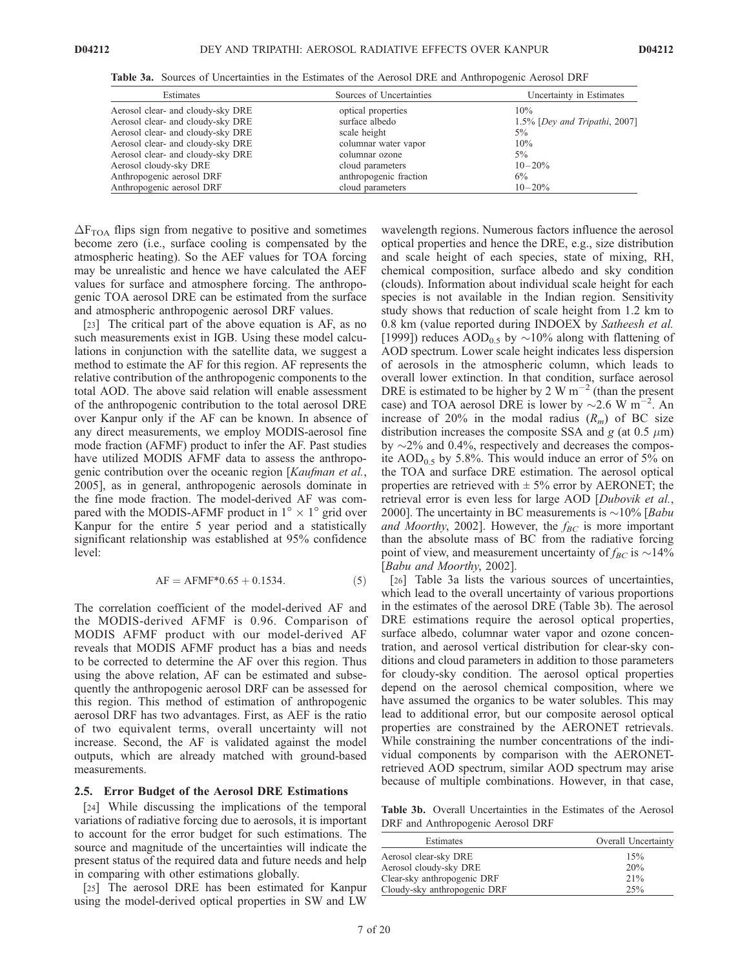| Table 3a. Sources of Uncertainties in the Estimates of the Aerosol DRE and Anthropogenic Aerosol DRF |
|------------------------------------------------------------------------------------------------------|
|                                                                                                      |

| Estimates                         | Sources of Uncertainties | Uncertainty in Estimates         |  |
|-----------------------------------|--------------------------|----------------------------------|--|
| Aerosol clear- and cloudy-sky DRE | optical properties       | 10%                              |  |
| Aerosol clear- and cloudy-sky DRE | surface albedo           | $1.5\%$ [Dey and Tripathi, 2007] |  |
| Aerosol clear- and cloudy-sky DRE | scale height             | $5\%$                            |  |
| Aerosol clear- and cloudy-sky DRE | columnar water vapor     | 10%                              |  |
| Aerosol clear- and cloudy-sky DRE | columnar ozone           | $5\%$                            |  |
| Aerosol cloudy-sky DRE            | cloud parameters         | $10 - 20\%$                      |  |
| Anthropogenic aerosol DRF         | anthropogenic fraction   | $6\%$                            |  |
| Anthropogenic aerosol DRF         | cloud parameters         | $10 - 20\%$                      |  |

 $\Delta F_{\text{TOA}}$  flips sign from negative to positive and sometimes become zero (i.e., surface cooling is compensated by the atmospheric heating). So the AEF values for TOA forcing may be unrealistic and hence we have calculated the AEF values for surface and atmosphere forcing. The anthropogenic TOA aerosol DRE can be estimated from the surface and atmospheric anthropogenic aerosol DRF values.

[23] The critical part of the above equation is AF, as no such measurements exist in IGB. Using these model calculations in conjunction with the satellite data, we suggest a method to estimate the AF for this region. AF represents the relative contribution of the anthropogenic components to the total AOD. The above said relation will enable assessment of the anthropogenic contribution to the total aerosol DRE over Kanpur only if the AF can be known. In absence of any direct measurements, we employ MODIS-aerosol fine mode fraction (AFMF) product to infer the AF. Past studies have utilized MODIS AFMF data to assess the anthropogenic contribution over the oceanic region [Kaufman et al., 2005], as in general, anthropogenic aerosols dominate in the fine mode fraction. The model-derived AF was compared with the MODIS-AFMF product in  $1^{\circ} \times 1^{\circ}$  grid over Kanpur for the entire 5 year period and a statistically significant relationship was established at 95% confidence level:

$$
AF = AFMF^*0.65 + 0.1534.
$$
 (5)

The correlation coefficient of the model-derived AF and the MODIS-derived AFMF is 0.96. Comparison of MODIS AFMF product with our model-derived AF reveals that MODIS AFMF product has a bias and needs to be corrected to determine the AF over this region. Thus using the above relation, AF can be estimated and subsequently the anthropogenic aerosol DRF can be assessed for this region. This method of estimation of anthropogenic aerosol DRF has two advantages. First, as AEF is the ratio of two equivalent terms, overall uncertainty will not increase. Second, the AF is validated against the model outputs, which are already matched with ground-based measurements.

#### 2.5. Error Budget of the Aerosol DRE Estimations

[24] While discussing the implications of the temporal variations of radiative forcing due to aerosols, it is important to account for the error budget for such estimations. The source and magnitude of the uncertainties will indicate the present status of the required data and future needs and help in comparing with other estimations globally.

[25] The aerosol DRE has been estimated for Kanpur using the model-derived optical properties in SW and LW wavelength regions. Numerous factors influence the aerosol optical properties and hence the DRE, e.g., size distribution and scale height of each species, state of mixing, RH, chemical composition, surface albedo and sky condition (clouds). Information about individual scale height for each species is not available in the Indian region. Sensitivity study shows that reduction of scale height from 1.2 km to 0.8 km (value reported during INDOEX by Satheesh et al. [1999]) reduces  $\text{AOD}_{0.5}$  by  $\sim$ 10% along with flattening of AOD spectrum. Lower scale height indicates less dispersion of aerosols in the atmospheric column, which leads to overall lower extinction. In that condition, surface aerosol DRE is estimated to be higher by 2 W  $\text{m}^{-2}$  (than the present case) and TOA aerosol DRE is lower by  $\sim 2.6$  W m<sup>-2</sup>. An increase of 20% in the modal radius  $(R_m)$  of BC size distribution increases the composite SSA and g (at 0.5  $\mu$ m) by  $\sim$ 2% and 0.4%, respectively and decreases the composite  $AOD_{0.5}$  by 5.8%. This would induce an error of 5% on the TOA and surface DRE estimation. The aerosol optical properties are retrieved with  $\pm$  5% error by AERONET; the retrieval error is even less for large AOD [Dubovik et al., 2000]. The uncertainty in BC measurements is  $\sim$ 10% [*Babu* and Moorthy, 2002]. However, the  $f_{BC}$  is more important than the absolute mass of BC from the radiative forcing point of view, and measurement uncertainty of  $f_{BC}$  is  $\sim$ 14% [Babu and Moorthy, 2002].

[26] Table 3a lists the various sources of uncertainties, which lead to the overall uncertainty of various proportions in the estimates of the aerosol DRE (Table 3b). The aerosol DRE estimations require the aerosol optical properties, surface albedo, columnar water vapor and ozone concentration, and aerosol vertical distribution for clear-sky conditions and cloud parameters in addition to those parameters for cloudy-sky condition. The aerosol optical properties depend on the aerosol chemical composition, where we have assumed the organics to be water solubles. This may lead to additional error, but our composite aerosol optical properties are constrained by the AERONET retrievals. While constraining the number concentrations of the individual components by comparison with the AERONETretrieved AOD spectrum, similar AOD spectrum may arise because of multiple combinations. However, in that case,

Table 3b. Overall Uncertainties in the Estimates of the Aerosol DRF and Anthropogenic Aerosol DRF

| Estimates                    | Overall Uncertainty |
|------------------------------|---------------------|
| Aerosol clear-sky DRE        | 15%                 |
| Aerosol cloudy-sky DRE       | 20%                 |
| Clear-sky anthropogenic DRF  | 21%                 |
| Cloudy-sky anthropogenic DRF | 25%                 |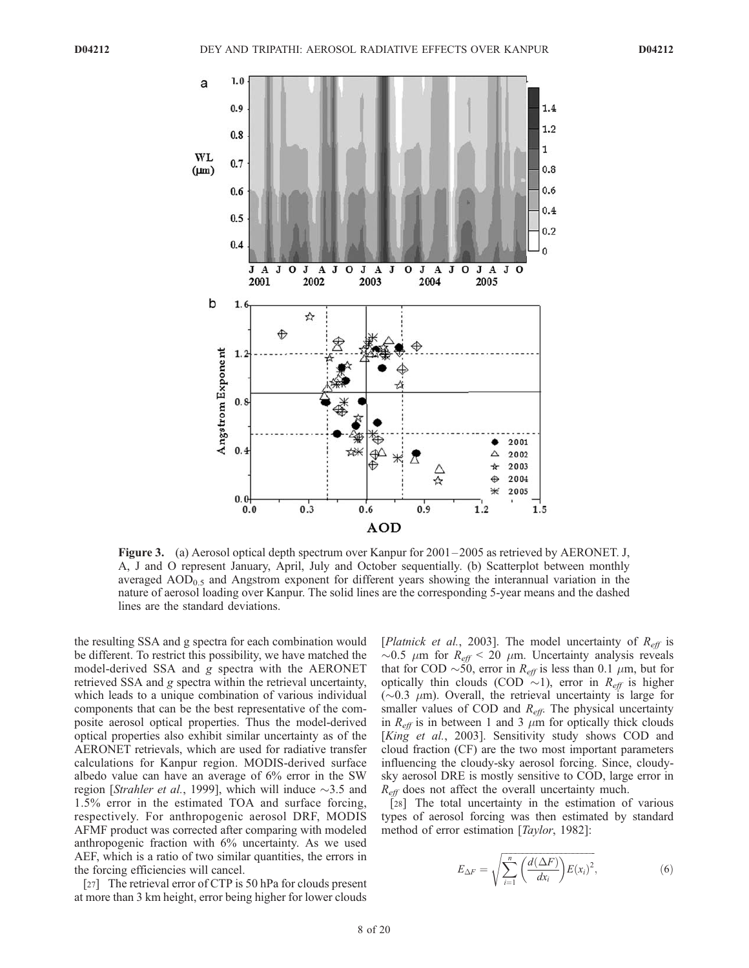

Figure 3. (a) Aerosol optical depth spectrum over Kanpur for 2001 – 2005 as retrieved by AERONET. J, A, J and O represent January, April, July and October sequentially. (b) Scatterplot between monthly averaged  $AOD_{0.5}$  and Angstrom exponent for different years showing the interannual variation in the nature of aerosol loading over Kanpur. The solid lines are the corresponding 5-year means and the dashed lines are the standard deviations.

the resulting SSA and g spectra for each combination would be different. To restrict this possibility, we have matched the model-derived SSA and g spectra with the AERONET retrieved SSA and g spectra within the retrieval uncertainty, which leads to a unique combination of various individual components that can be the best representative of the composite aerosol optical properties. Thus the model-derived optical properties also exhibit similar uncertainty as of the AERONET retrievals, which are used for radiative transfer calculations for Kanpur region. MODIS-derived surface albedo value can have an average of 6% error in the SW region [Strahler et al., 1999], which will induce  $\sim$ 3.5 and 1.5% error in the estimated TOA and surface forcing, respectively. For anthropogenic aerosol DRF, MODIS AFMF product was corrected after comparing with modeled anthropogenic fraction with 6% uncertainty. As we used AEF, which is a ratio of two similar quantities, the errors in the forcing efficiencies will cancel.

[27] The retrieval error of CTP is 50 hPa for clouds present at more than 3 km height, error being higher for lower clouds [*Platnick et al.*, 2003]. The model uncertainty of  $R_{\text{eff}}$  is  $\sim$ 0.5  $\mu$ m for  $R_{\text{eff}}$  < 20  $\mu$ m. Uncertainty analysis reveals that for COD  $\sim$  50, error in  $R_{\text{eff}}$  is less than 0.1  $\mu$ m, but for optically thin clouds (COD  $\sim$ 1), error in  $R_{\text{eff}}$  is higher ( $\sim$ 0.3  $\mu$ m). Overall, the retrieval uncertainty is large for smaller values of COD and  $R_{\text{eff}}$ . The physical uncertainty in  $R_{\text{eff}}$  is in between 1 and 3  $\mu$ m for optically thick clouds [King et al., 2003]. Sensitivity study shows COD and cloud fraction (CF) are the two most important parameters influencing the cloudy-sky aerosol forcing. Since, cloudysky aerosol DRE is mostly sensitive to COD, large error in  $R_{\text{eff}}$  does not affect the overall uncertainty much.

[28] The total uncertainty in the estimation of various types of aerosol forcing was then estimated by standard method of error estimation [*Taylor*, 1982]:

$$
E_{\Delta F} = \sqrt{\sum_{i=1}^{n} \left( \frac{d(\Delta F)}{dx_i} \right) E(x_i)^2},\tag{6}
$$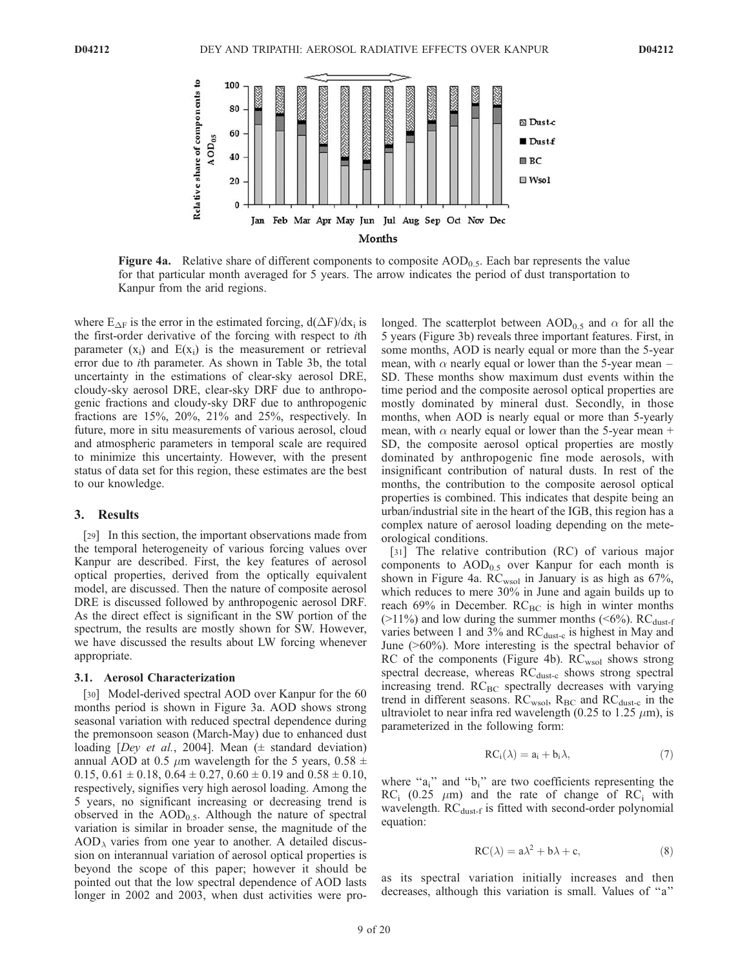

**Figure 4a.** Relative share of different components to composite  $AOD<sub>0.5</sub>$ . Each bar represents the value for that particular month averaged for 5 years. The arrow indicates the period of dust transportation to Kanpur from the arid regions.

where  $E_{\Delta F}$  is the error in the estimated forcing,  $d(\Delta F)/dx_i$  is the first-order derivative of the forcing with respect to ith parameter  $(x_i)$  and  $E(x_i)$  is the measurement or retrieval error due to ith parameter. As shown in Table 3b, the total uncertainty in the estimations of clear-sky aerosol DRE, cloudy-sky aerosol DRE, clear-sky DRF due to anthropogenic fractions and cloudy-sky DRF due to anthropogenic fractions are 15%, 20%, 21% and 25%, respectively. In future, more in situ measurements of various aerosol, cloud and atmospheric parameters in temporal scale are required to minimize this uncertainty. However, with the present status of data set for this region, these estimates are the best to our knowledge.

#### 3. Results

[29] In this section, the important observations made from the temporal heterogeneity of various forcing values over Kanpur are described. First, the key features of aerosol optical properties, derived from the optically equivalent model, are discussed. Then the nature of composite aerosol DRE is discussed followed by anthropogenic aerosol DRF. As the direct effect is significant in the SW portion of the spectrum, the results are mostly shown for SW. However, we have discussed the results about LW forcing whenever appropriate.

#### 3.1. Aerosol Characterization

[30] Model-derived spectral AOD over Kanpur for the 60 months period is shown in Figure 3a. AOD shows strong seasonal variation with reduced spectral dependence during the premonsoon season (March-May) due to enhanced dust loading [Dey et al., 2004]. Mean  $(\pm$  standard deviation) annual AOD at 0.5  $\mu$ m wavelength for the 5 years, 0.58 ± 0.15,  $0.61 \pm 0.18$ ,  $0.64 \pm 0.27$ ,  $0.60 \pm 0.19$  and  $0.58 \pm 0.10$ , respectively, signifies very high aerosol loading. Among the 5 years, no significant increasing or decreasing trend is observed in the  $AOD_{0.5}$ . Although the nature of spectral variation is similar in broader sense, the magnitude of the  $AOD<sub>\lambda</sub>$  varies from one year to another. A detailed discussion on interannual variation of aerosol optical properties is beyond the scope of this paper; however it should be pointed out that the low spectral dependence of AOD lasts longer in 2002 and 2003, when dust activities were prolonged. The scatterplot between  $\text{AOD}_{0.5}$  and  $\alpha$  for all the 5 years (Figure 3b) reveals three important features. First, in some months, AOD is nearly equal or more than the 5-year mean, with  $\alpha$  nearly equal or lower than the 5-year mean – SD. These months show maximum dust events within the time period and the composite aerosol optical properties are mostly dominated by mineral dust. Secondly, in those months, when AOD is nearly equal or more than 5-yearly mean, with  $\alpha$  nearly equal or lower than the 5-year mean + SD, the composite aerosol optical properties are mostly dominated by anthropogenic fine mode aerosols, with insignificant contribution of natural dusts. In rest of the months, the contribution to the composite aerosol optical properties is combined. This indicates that despite being an urban/industrial site in the heart of the IGB, this region has a complex nature of aerosol loading depending on the meteorological conditions.

[31] The relative contribution (RC) of various major components to  $AOD_{0.5}$  over Kanpur for each month is shown in Figure 4a. RC<sub>wsol</sub> in January is as high as 67%, which reduces to mere 30% in June and again builds up to reach 69% in December.  $RC_{BC}$  is high in winter months ( $>11\%$ ) and low during the summer months ( $< 6\%$ ). RC<sub>dust-f</sub> varies between 1 and 3% and  $RC_{dust-c}$  is highest in May and June (>60%). More interesting is the spectral behavior of RC of the components (Figure 4b). RC<sub>wsol</sub> shows strong spectral decrease, whereas  $RC_{dust-c}$  shows strong spectral increasing trend.  $RC_{BC}$  spectrally decreases with varying trend in different seasons.  $RC_{wsol}$ ,  $R_{BC}$  and  $RC_{dust-c}$  in the ultraviolet to near infra red wavelength (0.25 to 1.25  $\mu$ m), is parameterized in the following form:

$$
RC_i(\lambda) = a_i + b_i \lambda, \tag{7}
$$

where " $a_i$ " and " $b_i$ " are two coefficients representing the  $RC_i$  (0.25  $\mu$ m) and the rate of change of RC<sub>i</sub> with wavelength.  $RC_{dust-f}$  is fitted with second-order polynomial equation:

$$
RC(\lambda) = a\lambda^2 + b\lambda + c,\tag{8}
$$

as its spectral variation initially increases and then decreases, although this variation is small. Values of ''a''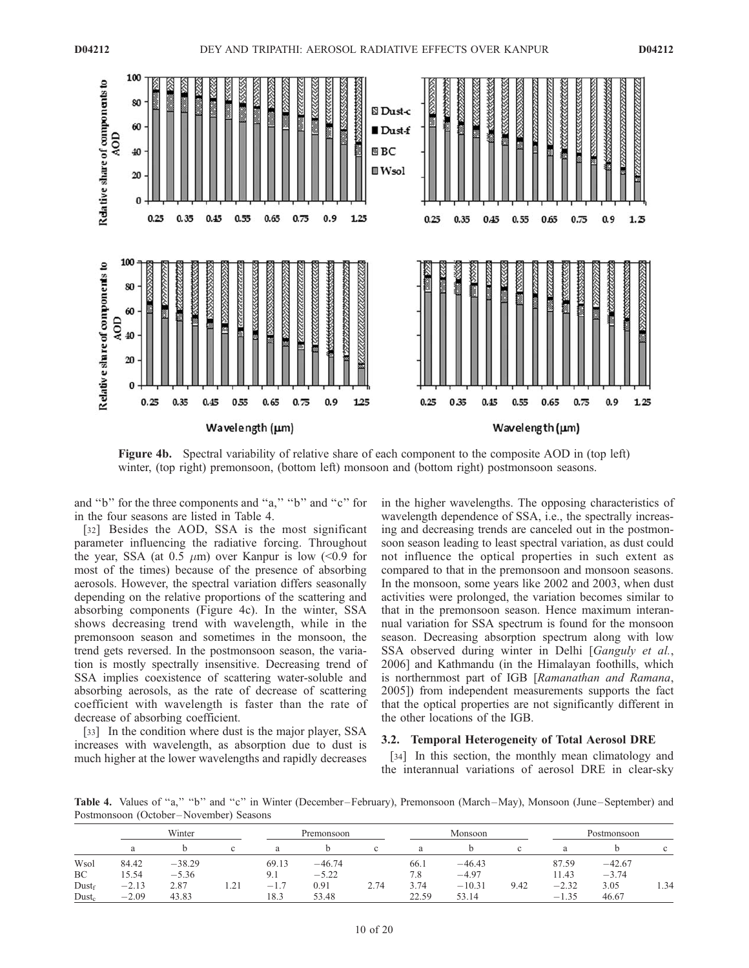

Figure 4b. Spectral variability of relative share of each component to the composite AOD in (top left) winter, (top right) premonsoon, (bottom left) monsoon and (bottom right) postmonsoon seasons.

and ''b'' for the three components and ''a,'' ''b'' and ''c'' for in the four seasons are listed in Table 4.

[32] Besides the AOD, SSA is the most significant parameter influencing the radiative forcing. Throughout the year, SSA (at 0.5  $\mu$ m) over Kanpur is low (<0.9 for most of the times) because of the presence of absorbing aerosols. However, the spectral variation differs seasonally depending on the relative proportions of the scattering and absorbing components (Figure 4c). In the winter, SSA shows decreasing trend with wavelength, while in the premonsoon season and sometimes in the monsoon, the trend gets reversed. In the postmonsoon season, the variation is mostly spectrally insensitive. Decreasing trend of SSA implies coexistence of scattering water-soluble and absorbing aerosols, as the rate of decrease of scattering coefficient with wavelength is faster than the rate of decrease of absorbing coefficient.

[33] In the condition where dust is the major player, SSA increases with wavelength, as absorption due to dust is much higher at the lower wavelengths and rapidly decreases

in the higher wavelengths. The opposing characteristics of wavelength dependence of SSA, i.e., the spectrally increasing and decreasing trends are canceled out in the postmonsoon season leading to least spectral variation, as dust could not influence the optical properties in such extent as compared to that in the premonsoon and monsoon seasons. In the monsoon, some years like 2002 and 2003, when dust activities were prolonged, the variation becomes similar to that in the premonsoon season. Hence maximum interannual variation for SSA spectrum is found for the monsoon season. Decreasing absorption spectrum along with low SSA observed during winter in Delhi [Ganguly et al., 2006] and Kathmandu (in the Himalayan foothills, which is northernmost part of IGB [Ramanathan and Ramana, 2005]) from independent measurements supports the fact that the optical properties are not significantly different in the other locations of the IGB.

## 3.2. Temporal Heterogeneity of Total Aerosol DRE

[34] In this section, the monthly mean climatology and the interannual variations of aerosol DRE in clear-sky

Table 4. Values of "a," "b" and "c" in Winter (December–February), Premonsoon (March–May), Monsoon (June–September) and Postmonsoon (October –November) Seasons

|                   |         | Winter   |        | Premonsoon |          |      | Monsoon |          |      |             | Postmonsoon |      |
|-------------------|---------|----------|--------|------------|----------|------|---------|----------|------|-------------|-------------|------|
|                   | a       |          | $\sim$ | a          |          |      | a       |          | c    |             |             |      |
| Wsol              | 84.42   | $-38.29$ |        | 69.13      | $-46.74$ |      | 66.1    | $-46.43$ |      | 87.59       | $-42.67$    |      |
| BC                | 5.54    | $-5.36$  |        | 9.1        | $-5.22$  |      | 7.8     | $-4.97$  |      | 11.43       | $-3.74$     |      |
| Dust <sub>f</sub> | $-2.13$ | 2.87     | 1.21   | $-1$       | 0.91     | 2.74 | 3.74    | $-10.31$ | 9.42 | $-2.32$     | 3.05        | 1.34 |
| $Dust_c$          | $-2.09$ | 43.83    |        | 18.3       | 53.48    |      | 22.59   | 53.14    |      | 1.35<br>— I | 46.67       |      |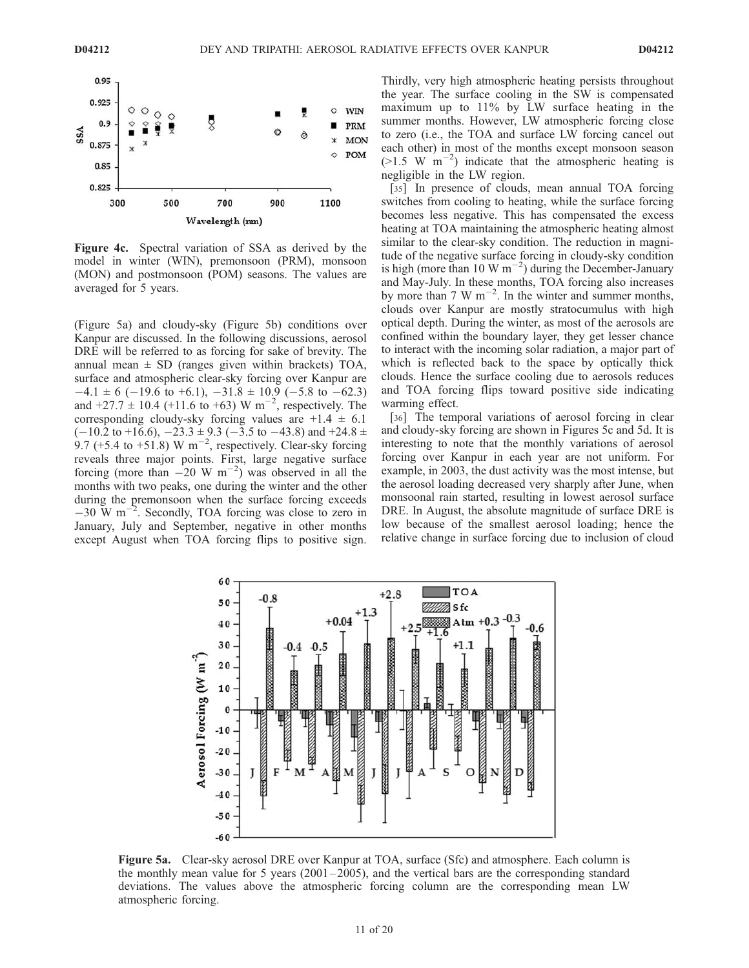

Figure 4c. Spectral variation of SSA as derived by the model in winter (WIN), premonsoon (PRM), monsoon (MON) and postmonsoon (POM) seasons. The values are averaged for 5 years.

(Figure 5a) and cloudy-sky (Figure 5b) conditions over Kanpur are discussed. In the following discussions, aerosol DRE will be referred to as forcing for sake of brevity. The annual mean  $\pm$  SD (ranges given within brackets) TOA, surface and atmospheric clear-sky forcing over Kanpur are  $-4.1 \pm 6$  (-19.6 to +6.1),  $-31.8 \pm 10.9$  (-5.8 to -62.3) and  $+27.7 \pm 10.4$  ( $+11.6$  to  $+63$ ) W m<sup>-2</sup>, respectively. The corresponding cloudy-sky forcing values are  $+1.4 \pm 6.1$  $(-10.2 \text{ to } +16.6)$ ,  $-23.3 \pm 9.3 (-3.5 \text{ to } -43.8)$  and  $+24.8 \pm 1.5$ 9.7 (+5.4 to +51.8) W m<sup>-2</sup>, respectively. Clear-sky forcing reveals three major points. First, large negative surface forcing (more than  $-20 \text{ W m}^{-2}$ ) was observed in all the months with two peaks, one during the winter and the other during the premonsoon when the surface forcing exceeds  $-30$  W m<sup>-2</sup>. Secondly, TOA forcing was close to zero in January, July and September, negative in other months except August when TOA forcing flips to positive sign.

Thirdly, very high atmospheric heating persists throughout the year. The surface cooling in the SW is compensated maximum up to 11% by LW surface heating in the summer months. However, LW atmospheric forcing close to zero (i.e., the TOA and surface LW forcing cancel out each other) in most of the months except monsoon season  $(>1.5 \text{ W m}^{-2})$  indicate that the atmospheric heating is negligible in the LW region.

[35] In presence of clouds, mean annual TOA forcing switches from cooling to heating, while the surface forcing becomes less negative. This has compensated the excess heating at TOA maintaining the atmospheric heating almost similar to the clear-sky condition. The reduction in magnitude of the negative surface forcing in cloudy-sky condition is high (more than 10 W  $m^{-2}$ ) during the December-January and May-July. In these months, TOA forcing also increases by more than  $7 \text{ W m}^{-2}$ . In the winter and summer months, clouds over Kanpur are mostly stratocumulus with high optical depth. During the winter, as most of the aerosols are confined within the boundary layer, they get lesser chance to interact with the incoming solar radiation, a major part of which is reflected back to the space by optically thick clouds. Hence the surface cooling due to aerosols reduces and TOA forcing flips toward positive side indicating warming effect.

[36] The temporal variations of aerosol forcing in clear and cloudy-sky forcing are shown in Figures 5c and 5d. It is interesting to note that the monthly variations of aerosol forcing over Kanpur in each year are not uniform. For example, in 2003, the dust activity was the most intense, but the aerosol loading decreased very sharply after June, when monsoonal rain started, resulting in lowest aerosol surface DRE. In August, the absolute magnitude of surface DRE is low because of the smallest aerosol loading; hence the relative change in surface forcing due to inclusion of cloud



Figure 5a. Clear-sky aerosol DRE over Kanpur at TOA, surface (Sfc) and atmosphere. Each column is the monthly mean value for 5 years ( $2001 - 2005$ ), and the vertical bars are the corresponding standard deviations. The values above the atmospheric forcing column are the corresponding mean LW atmospheric forcing.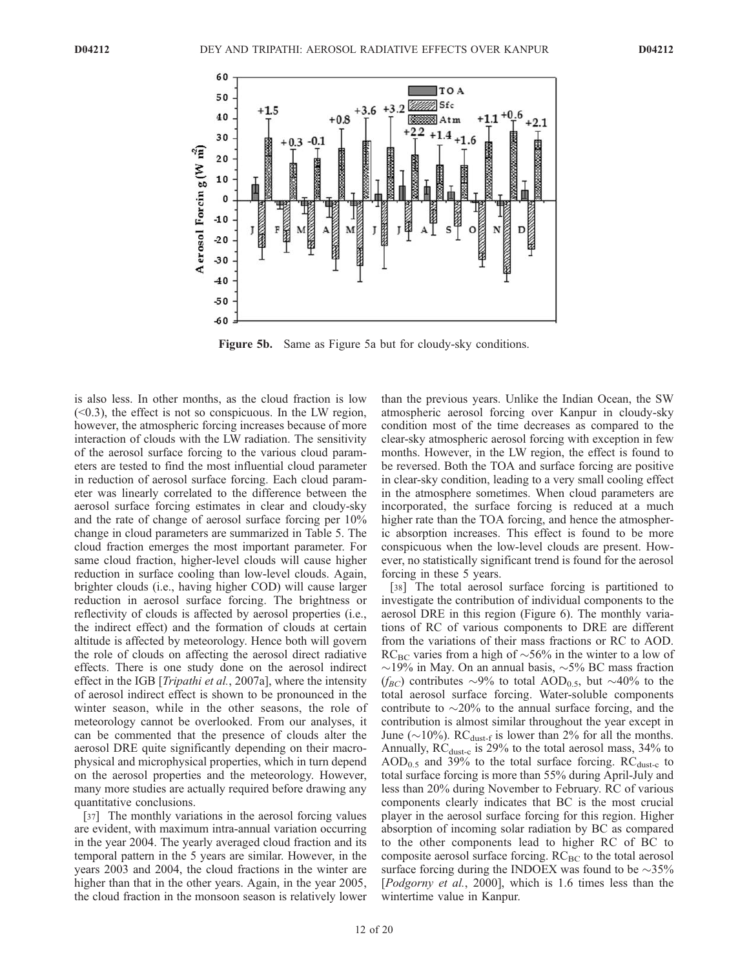

Figure 5b. Same as Figure 5a but for cloudy-sky conditions.

is also less. In other months, as the cloud fraction is low  $( $0.3$ ), the effect is not so conspicuous. In the LW region,$ however, the atmospheric forcing increases because of more interaction of clouds with the LW radiation. The sensitivity of the aerosol surface forcing to the various cloud parameters are tested to find the most influential cloud parameter in reduction of aerosol surface forcing. Each cloud parameter was linearly correlated to the difference between the aerosol surface forcing estimates in clear and cloudy-sky and the rate of change of aerosol surface forcing per 10% change in cloud parameters are summarized in Table 5. The cloud fraction emerges the most important parameter. For same cloud fraction, higher-level clouds will cause higher reduction in surface cooling than low-level clouds. Again, brighter clouds (i.e., having higher COD) will cause larger reduction in aerosol surface forcing. The brightness or reflectivity of clouds is affected by aerosol properties (i.e., the indirect effect) and the formation of clouds at certain altitude is affected by meteorology. Hence both will govern the role of clouds on affecting the aerosol direct radiative effects. There is one study done on the aerosol indirect effect in the IGB [*Tripathi et al.*, 2007a], where the intensity of aerosol indirect effect is shown to be pronounced in the winter season, while in the other seasons, the role of meteorology cannot be overlooked. From our analyses, it can be commented that the presence of clouds alter the aerosol DRE quite significantly depending on their macrophysical and microphysical properties, which in turn depend on the aerosol properties and the meteorology. However, many more studies are actually required before drawing any quantitative conclusions.

[37] The monthly variations in the aerosol forcing values are evident, with maximum intra-annual variation occurring in the year 2004. The yearly averaged cloud fraction and its temporal pattern in the 5 years are similar. However, in the years 2003 and 2004, the cloud fractions in the winter are higher than that in the other years. Again, in the year 2005, the cloud fraction in the monsoon season is relatively lower than the previous years. Unlike the Indian Ocean, the SW atmospheric aerosol forcing over Kanpur in cloudy-sky condition most of the time decreases as compared to the clear-sky atmospheric aerosol forcing with exception in few months. However, in the LW region, the effect is found to be reversed. Both the TOA and surface forcing are positive in clear-sky condition, leading to a very small cooling effect in the atmosphere sometimes. When cloud parameters are incorporated, the surface forcing is reduced at a much higher rate than the TOA forcing, and hence the atmospheric absorption increases. This effect is found to be more conspicuous when the low-level clouds are present. However, no statistically significant trend is found for the aerosol forcing in these 5 years.

[38] The total aerosol surface forcing is partitioned to investigate the contribution of individual components to the aerosol DRE in this region (Figure 6). The monthly variations of RC of various components to DRE are different from the variations of their mass fractions or RC to AOD. RC<sub>BC</sub> varies from a high of  $\sim$ 56% in the winter to a low of  $\sim$ 19% in May. On an annual basis,  $\sim$ 5% BC mass fraction  $(f_{BC})$  contributes  $\sim$ 9% to total AOD<sub>0.5</sub>, but  $\sim$ 40% to the total aerosol surface forcing. Water-soluble components contribute to  $\sim$ 20% to the annual surface forcing, and the contribution is almost similar throughout the year except in June ( $\sim$ 10%). RC<sub>dust-f</sub> is lower than 2% for all the months. Annually,  $RC_{dust-c}$  is 29% to the total aerosol mass, 34% to  $AOD_{0.5}$  and 39% to the total surface forcing.  $RC_{dust-c}$  to total surface forcing is more than 55% during April-July and less than 20% during November to February. RC of various components clearly indicates that BC is the most crucial player in the aerosol surface forcing for this region. Higher absorption of incoming solar radiation by BC as compared to the other components lead to higher RC of BC to composite aerosol surface forcing.  $RC_{BC}$  to the total aerosol surface forcing during the INDOEX was found to be  $\sim$ 35% [Podgorny et al., 2000], which is 1.6 times less than the wintertime value in Kanpur.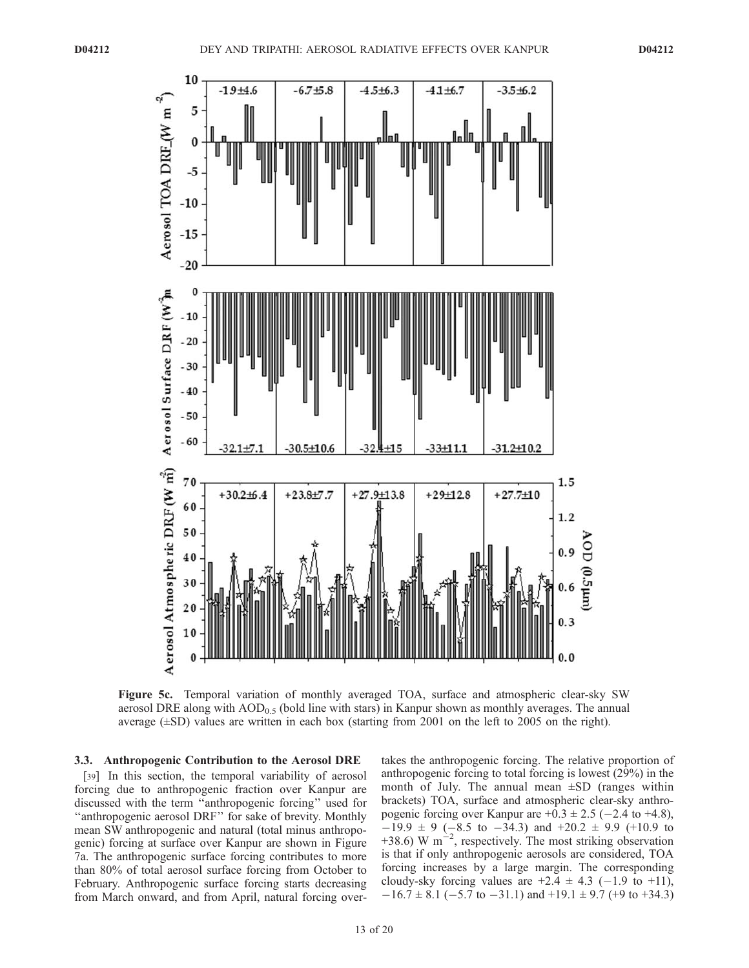

Figure 5c. Temporal variation of monthly averaged TOA, surface and atmospheric clear-sky SW aerosol DRE along with  $AOD_{0.5}$  (bold line with stars) in Kanpur shown as monthly averages. The annual average  $(\pm SD)$  values are written in each box (starting from 2001 on the left to 2005 on the right).

### 3.3. Anthropogenic Contribution to the Aerosol DRE

[39] In this section, the temporal variability of aerosol forcing due to anthropogenic fraction over Kanpur are discussed with the term ''anthropogenic forcing'' used for ''anthropogenic aerosol DRF'' for sake of brevity. Monthly mean SW anthropogenic and natural (total minus anthropogenic) forcing at surface over Kanpur are shown in Figure 7a. The anthropogenic surface forcing contributes to more than 80% of total aerosol surface forcing from October to February. Anthropogenic surface forcing starts decreasing from March onward, and from April, natural forcing over-

takes the anthropogenic forcing. The relative proportion of anthropogenic forcing to total forcing is lowest (29%) in the month of July. The annual mean  $\pm SD$  (ranges within brackets) TOA, surface and atmospheric clear-sky anthropogenic forcing over Kanpur are  $+0.3 \pm 2.5$  ( $-2.4$  to  $+4.8$ ),  $-19.9 \pm 9$  (-8.5 to -34.3) and +20.2  $\pm$  9.9 (+10.9 to +38.6) W m<sup>-2</sup>, respectively. The most striking observation is that if only anthropogenic aerosols are considered, TOA forcing increases by a large margin. The corresponding cloudy-sky forcing values are  $+2.4 \pm 4.3$  (-1.9 to +11),  $-16.7 \pm 8.1$  (-5.7 to -31.1) and +19.1  $\pm$  9.7 (+9 to +34.3)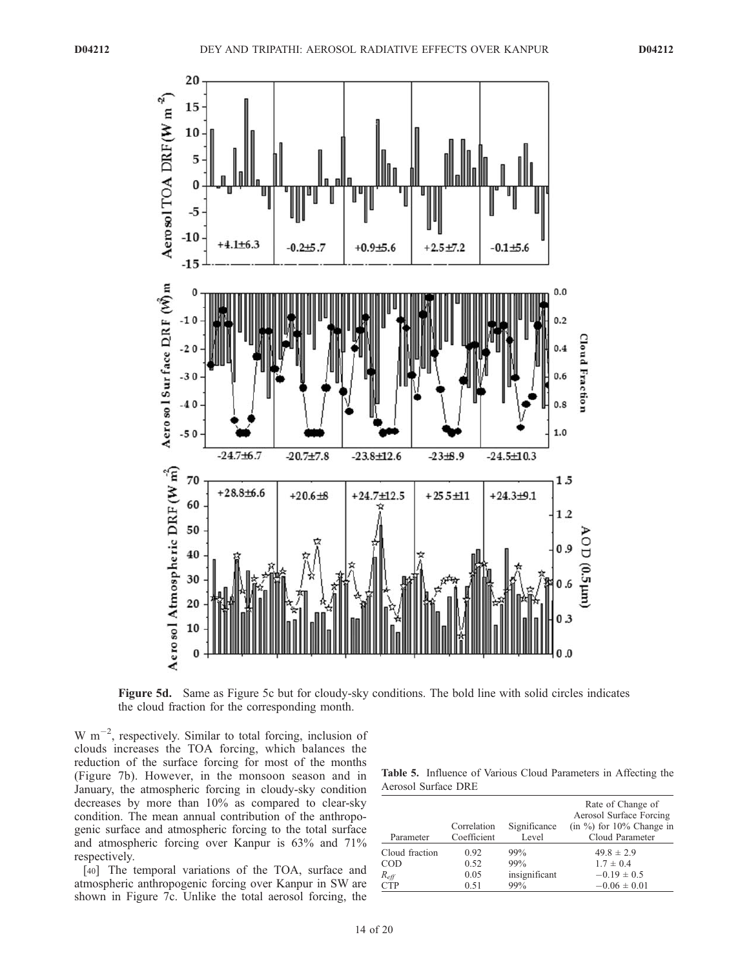

Figure 5d. Same as Figure 5c but for cloudy-sky conditions. The bold line with solid circles indicates the cloud fraction for the corresponding month.

W  $\text{m}^{-2}$ , respectively. Similar to total forcing, inclusion of clouds increases the TOA forcing, which balances the reduction of the surface forcing for most of the months (Figure 7b). However, in the monsoon season and in January, the atmospheric forcing in cloudy-sky condition decreases by more than 10% as compared to clear-sky condition. The mean annual contribution of the anthropogenic surface and atmospheric forcing to the total surface and atmospheric forcing over Kanpur is 63% and 71% respectively.

[40] The temporal variations of the TOA, surface and atmospheric anthropogenic forcing over Kanpur in SW are shown in Figure 7c. Unlike the total aerosol forcing, the

| <b>Table 5.</b> Influence of Various Cloud Parameters in Affecting the |  |  |  |
|------------------------------------------------------------------------|--|--|--|
| Aerosol Surface DRE                                                    |  |  |  |

| Parameter        | Correlation<br>Coefficient | Significance<br>Level | Rate of Change of<br>Aerosol Surface Forcing<br>(in $\%$ ) for 10% Change in<br>Cloud Parameter |
|------------------|----------------------------|-----------------------|-------------------------------------------------------------------------------------------------|
| Cloud fraction   | 0.92                       | 99%                   | $49.8 \pm 2.9$                                                                                  |
| <b>COD</b>       | 0.52                       | 99%                   | $1.7 \pm 0.4$                                                                                   |
| $R_{\text{eff}}$ | 0.05                       | insignificant         | $-0.19 \pm 0.5$                                                                                 |
| <b>CTP</b>       | 0.51                       | 99%                   | $-0.06 \pm 0.01$                                                                                |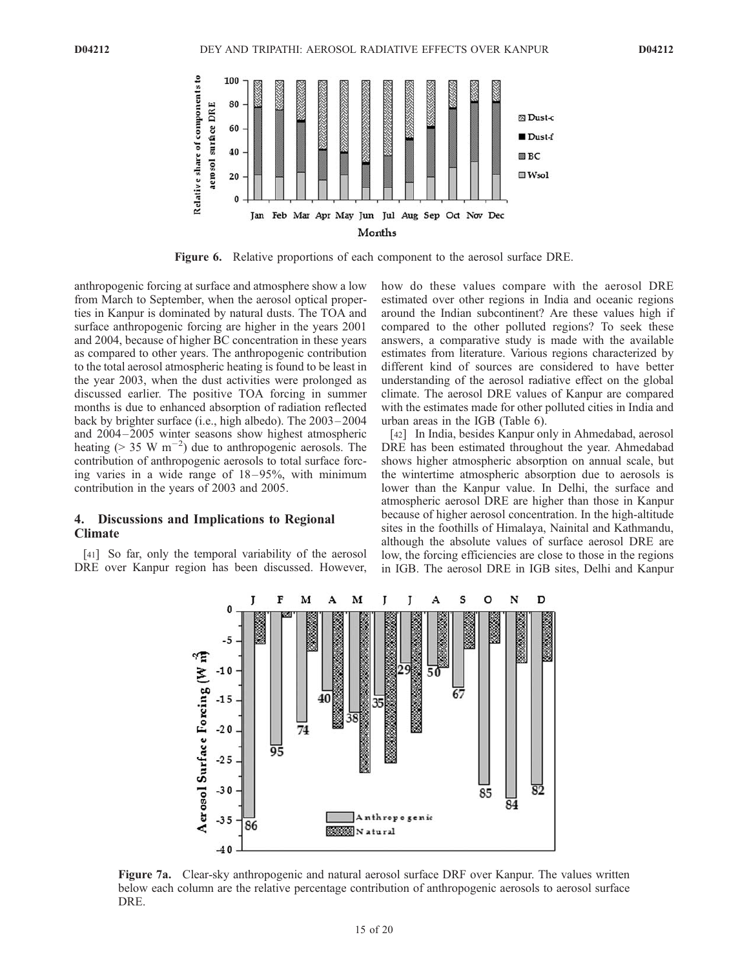

Figure 6. Relative proportions of each component to the aerosol surface DRE.

anthropogenic forcing at surface and atmosphere show a low from March to September, when the aerosol optical properties in Kanpur is dominated by natural dusts. The TOA and surface anthropogenic forcing are higher in the years 2001 and 2004, because of higher BC concentration in these years as compared to other years. The anthropogenic contribution to the total aerosol atmospheric heating is found to be least in the year 2003, when the dust activities were prolonged as discussed earlier. The positive TOA forcing in summer months is due to enhanced absorption of radiation reflected back by brighter surface (i.e., high albedo). The 2003 – 2004 and 2004– 2005 winter seasons show highest atmospheric heating ( $> 35 \text{ W m}^{-2}$ ) due to anthropogenic aerosols. The contribution of anthropogenic aerosols to total surface forcing varies in a wide range of  $18-95\%$ , with minimum contribution in the years of 2003 and 2005.

# 4. Discussions and Implications to Regional Climate

[41] So far, only the temporal variability of the aerosol DRE over Kanpur region has been discussed. However, how do these values compare with the aerosol DRE estimated over other regions in India and oceanic regions around the Indian subcontinent? Are these values high if compared to the other polluted regions? To seek these answers, a comparative study is made with the available estimates from literature. Various regions characterized by different kind of sources are considered to have better understanding of the aerosol radiative effect on the global climate. The aerosol DRE values of Kanpur are compared with the estimates made for other polluted cities in India and urban areas in the IGB (Table 6).

[42] In India, besides Kanpur only in Ahmedabad, aerosol DRE has been estimated throughout the year. Ahmedabad shows higher atmospheric absorption on annual scale, but the wintertime atmospheric absorption due to aerosols is lower than the Kanpur value. In Delhi, the surface and atmospheric aerosol DRE are higher than those in Kanpur because of higher aerosol concentration. In the high-altitude sites in the foothills of Himalaya, Nainital and Kathmandu, although the absolute values of surface aerosol DRE are low, the forcing efficiencies are close to those in the regions in IGB. The aerosol DRE in IGB sites, Delhi and Kanpur



Figure 7a. Clear-sky anthropogenic and natural aerosol surface DRF over Kanpur. The values written below each column are the relative percentage contribution of anthropogenic aerosols to aerosol surface DRE.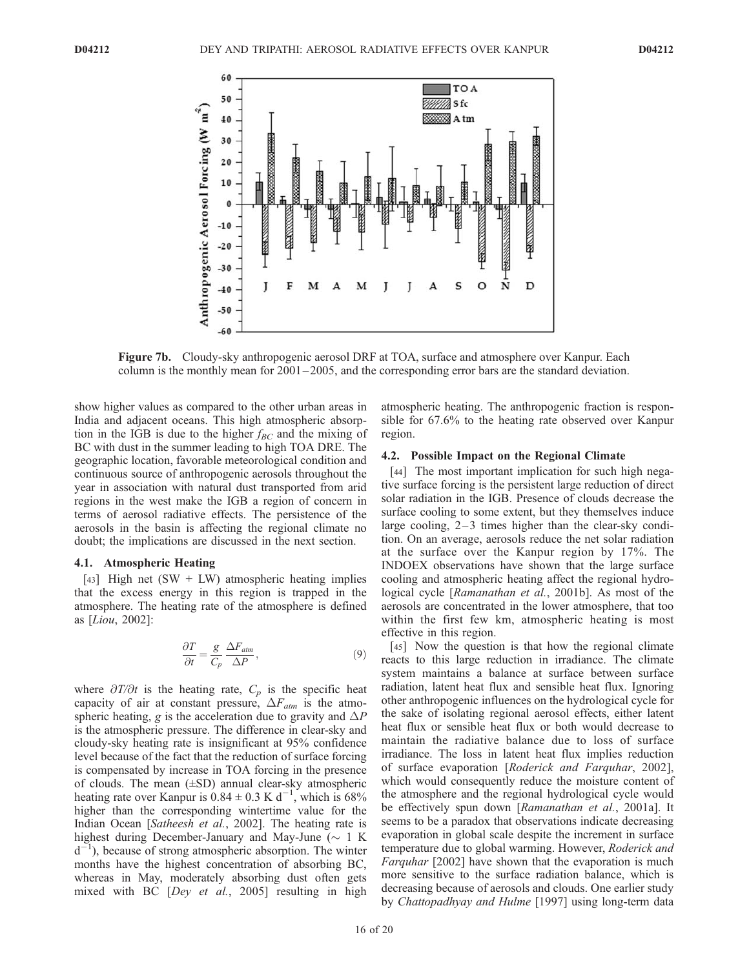

Figure 7b. Cloudy-sky anthropogenic aerosol DRF at TOA, surface and atmosphere over Kanpur. Each column is the monthly mean for  $2001-2005$ , and the corresponding error bars are the standard deviation.

show higher values as compared to the other urban areas in India and adjacent oceans. This high atmospheric absorption in the IGB is due to the higher  $f_{BC}$  and the mixing of BC with dust in the summer leading to high TOA DRE. The geographic location, favorable meteorological condition and continuous source of anthropogenic aerosols throughout the year in association with natural dust transported from arid regions in the west make the IGB a region of concern in terms of aerosol radiative effects. The persistence of the aerosols in the basin is affecting the regional climate no doubt; the implications are discussed in the next section.

#### 4.1. Atmospheric Heating

[43] High net  $(SW + LW)$  atmospheric heating implies that the excess energy in this region is trapped in the atmosphere. The heating rate of the atmosphere is defined as [Liou, 2002]:

$$
\frac{\partial T}{\partial t} = \frac{g}{C_p} \frac{\Delta F_{atm}}{\Delta P},\tag{9}
$$

where  $\partial T/\partial t$  is the heating rate,  $C_p$  is the specific heat capacity of air at constant pressure,  $\Delta F_{atm}$  is the atmospheric heating, g is the acceleration due to gravity and  $\Delta P$ is the atmospheric pressure. The difference in clear-sky and cloudy-sky heating rate is insignificant at 95% confidence level because of the fact that the reduction of surface forcing is compensated by increase in TOA forcing in the presence of clouds. The mean  $(\pm SD)$  annual clear-sky atmospheric heating rate over Kanpur is  $0.84 \pm 0.3$  K d<sup>-1</sup>, which is 68% higher than the corresponding wintertime value for the Indian Ocean [Satheesh et al., 2002]. The heating rate is highest during December-January and May-June  $(\sim 1 \text{ K})$  $d^{-1}$ ), because of strong atmospheric absorption. The winter months have the highest concentration of absorbing BC, whereas in May, moderately absorbing dust often gets mixed with BC [Dey et al., 2005] resulting in high atmospheric heating. The anthropogenic fraction is responsible for 67.6% to the heating rate observed over Kanpur region.

## 4.2. Possible Impact on the Regional Climate

[44] The most important implication for such high negative surface forcing is the persistent large reduction of direct solar radiation in the IGB. Presence of clouds decrease the surface cooling to some extent, but they themselves induce large cooling,  $2-3$  times higher than the clear-sky condition. On an average, aerosols reduce the net solar radiation at the surface over the Kanpur region by 17%. The INDOEX observations have shown that the large surface cooling and atmospheric heating affect the regional hydrological cycle [Ramanathan et al., 2001b]. As most of the aerosols are concentrated in the lower atmosphere, that too within the first few km, atmospheric heating is most effective in this region.

[45] Now the question is that how the regional climate reacts to this large reduction in irradiance. The climate system maintains a balance at surface between surface radiation, latent heat flux and sensible heat flux. Ignoring other anthropogenic influences on the hydrological cycle for the sake of isolating regional aerosol effects, either latent heat flux or sensible heat flux or both would decrease to maintain the radiative balance due to loss of surface irradiance. The loss in latent heat flux implies reduction of surface evaporation [Roderick and Farquhar, 2002], which would consequently reduce the moisture content of the atmosphere and the regional hydrological cycle would be effectively spun down [Ramanathan et al., 2001a]. It seems to be a paradox that observations indicate decreasing evaporation in global scale despite the increment in surface temperature due to global warming. However, Roderick and Farquhar [2002] have shown that the evaporation is much more sensitive to the surface radiation balance, which is decreasing because of aerosols and clouds. One earlier study by Chattopadhyay and Hulme [1997] using long-term data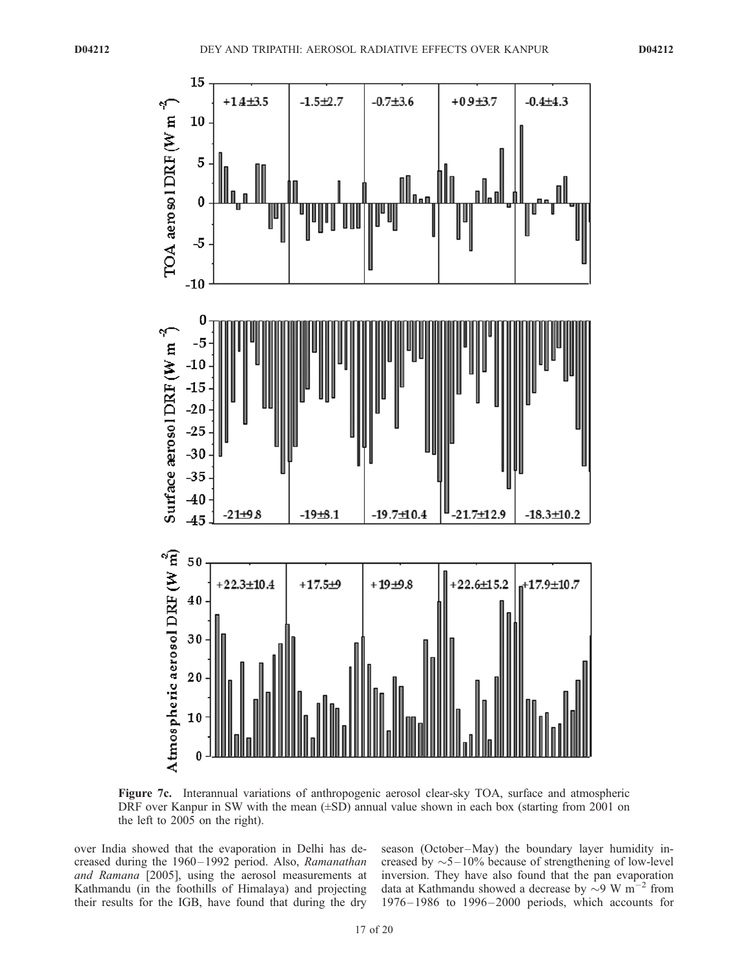

Figure 7c. Interannual variations of anthropogenic aerosol clear-sky TOA, surface and atmospheric DRF over Kanpur in SW with the mean  $(\pm SD)$  annual value shown in each box (starting from 2001 on the left to 2005 on the right).

over India showed that the evaporation in Delhi has decreased during the 1960–1992 period. Also, Ramanathan and Ramana [2005], using the aerosol measurements at Kathmandu (in the foothills of Himalaya) and projecting their results for the IGB, have found that during the dry

season (October-May) the boundary layer humidity increased by  $\sim$  5–10% because of strengthening of low-level inversion. They have also found that the pan evaporation data at Kathmandu showed a decrease by  $\sim 9$  W m<sup>-2</sup> from  $1976 - 1986$  to  $1996 - 2000$  periods, which accounts for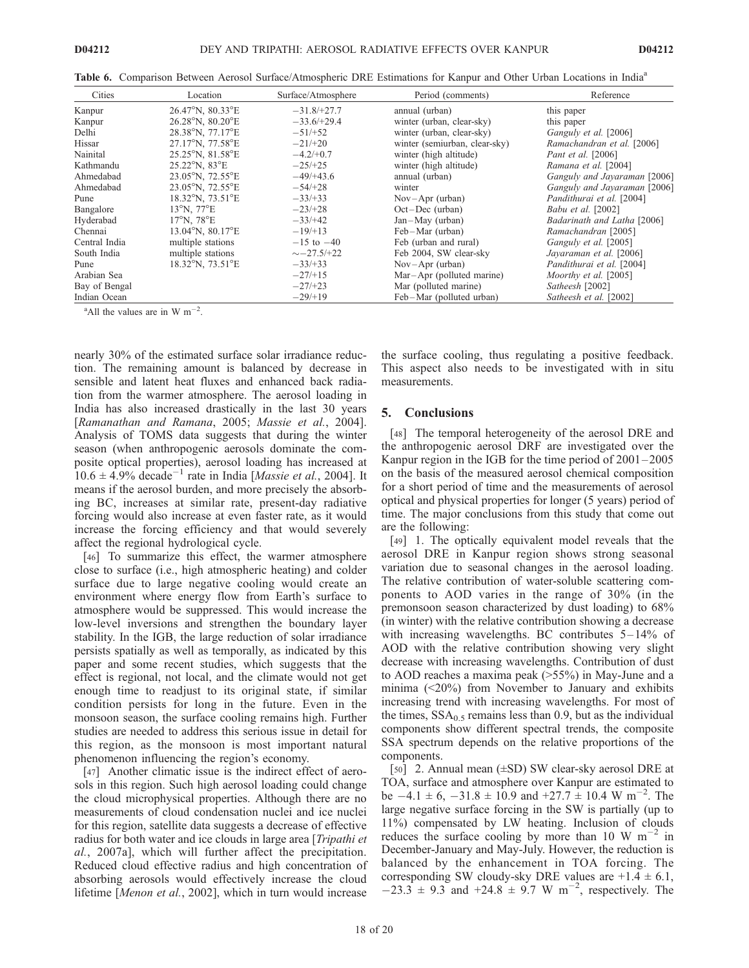| Cities        | Location                             | Surface/Atmosphere | Period (comments)             | Reference                    |
|---------------|--------------------------------------|--------------------|-------------------------------|------------------------------|
| Kanpur        | 26.47°N, 80.33°E                     | $-31.8/+27.7$      | annual (urban)                | this paper                   |
| Kanpur        | 26.28°N, 80.20°E                     | $-33.6/+29.4$      | winter (urban, clear-sky)     | this paper                   |
| Delhi         | 28.38°N, 77.17°E                     | $-51/+52$          | winter (urban, clear-sky)     | Ganguly et al. [2006]        |
| Hissar        | 27.17°N, 77.58°E                     | $-21/+20$          | winter (semiurban, clear-sky) | Ramachandran et al. [2006]   |
| Nainital      | 25.25°N, 81.58°E                     | $-4.2/+0.7$        | winter (high altitude)        | Pant et al. [2006]           |
| Kathmandu     | $25.22^{\circ}$ N, $83^{\circ}$ E    | $-25/+25$          | winter (high altitude)        | Ramana et al. [2004]         |
| Ahmedabad     | $23.05^{\circ}$ N, $72.55^{\circ}$ E | $-49/+43.6$        | annual (urban)                | Ganguly and Jayaraman [2006] |
| Ahmedabad     | $23.05^{\circ}$ N, $72.55^{\circ}$ E | $-54/+28$          | winter                        | Ganguly and Jayaraman [2006] |
| Pune          | 18.32°N, 73.51°E                     | $-33/33$           | $Nov-Apr$ (urban)             | Pandithurai et al. [2004]    |
| Bangalore     | $13^{\circ}$ N. $77^{\circ}$ E       | $-23/128$          | $Oct-Dec$ (urban)             | Babu et al. [2002]           |
| Hyderabad     | $17^{\circ}$ N. 78 $^{\circ}$ E      | $-33/142$          | $Jan-May$ (urban)             | Badarinath and Latha [2006]  |
| Chennai       | 13.04°N, 80.17°E                     | $-19/13$           | Feb-Mar (urban)               | Ramachandran [2005]          |
| Central India | multiple stations                    | $-15$ to $-40$     | Feb (urban and rural)         | Ganguly et al. [2005]        |
| South India   | multiple stations                    | $\sim -27.5/+22$   | Feb 2004, SW clear-sky        | Javaraman et al. [2006]      |
| Pune          | $18.32^{\circ}$ N, $73.51^{\circ}$ E | $-33/33$           | $Nov-Apr$ (urban)             | Pandithurai et al. [2004]    |
| Arabian Sea   |                                      | $-27/15$           | $Mar-Apr$ (polluted marine)   | Moorthy et al. [2005]        |
| Bay of Bengal |                                      | $-27/123$          | Mar (polluted marine)         | Satheesh [2002]              |
| Indian Ocean  |                                      | $-29/19$           | Feb-Mar (polluted urban)      | Satheesh et al. [2002]       |

Table 6. Comparison Between Aerosol Surface/Atmospheric DRE Estimations for Kanpur and Other Urban Locations in India<sup>a</sup>

<sup>a</sup>All the values are in W  $m^{-2}$ .

nearly 30% of the estimated surface solar irradiance reduction. The remaining amount is balanced by decrease in sensible and latent heat fluxes and enhanced back radiation from the warmer atmosphere. The aerosol loading in India has also increased drastically in the last 30 years [Ramanathan and Ramana, 2005; Massie et al., 2004]. Analysis of TOMS data suggests that during the winter season (when anthropogenic aerosols dominate the composite optical properties), aerosol loading has increased at  $10.6 \pm 4.9\%$  decade<sup>-1</sup> rate in India [*Massie et al.*, 2004]. It means if the aerosol burden, and more precisely the absorbing BC, increases at similar rate, present-day radiative forcing would also increase at even faster rate, as it would increase the forcing efficiency and that would severely affect the regional hydrological cycle.

[46] To summarize this effect, the warmer atmosphere close to surface (i.e., high atmospheric heating) and colder surface due to large negative cooling would create an environment where energy flow from Earth's surface to atmosphere would be suppressed. This would increase the low-level inversions and strengthen the boundary layer stability. In the IGB, the large reduction of solar irradiance persists spatially as well as temporally, as indicated by this paper and some recent studies, which suggests that the effect is regional, not local, and the climate would not get enough time to readjust to its original state, if similar condition persists for long in the future. Even in the monsoon season, the surface cooling remains high. Further studies are needed to address this serious issue in detail for this region, as the monsoon is most important natural phenomenon influencing the region's economy.

[47] Another climatic issue is the indirect effect of aerosols in this region. Such high aerosol loading could change the cloud microphysical properties. Although there are no measurements of cloud condensation nuclei and ice nuclei for this region, satellite data suggests a decrease of effective radius for both water and ice clouds in large area [Tripathi et al., 2007a], which will further affect the precipitation. Reduced cloud effective radius and high concentration of absorbing aerosols would effectively increase the cloud lifetime [Menon et al., 2002], which in turn would increase

the surface cooling, thus regulating a positive feedback. This aspect also needs to be investigated with in situ measurements.

### 5. Conclusions

[48] The temporal heterogeneity of the aerosol DRE and the anthropogenic aerosol DRF are investigated over the Kanpur region in the IGB for the time period of 2001 – 2005 on the basis of the measured aerosol chemical composition for a short period of time and the measurements of aerosol optical and physical properties for longer (5 years) period of time. The major conclusions from this study that come out are the following:

[49] 1. The optically equivalent model reveals that the aerosol DRE in Kanpur region shows strong seasonal variation due to seasonal changes in the aerosol loading. The relative contribution of water-soluble scattering components to AOD varies in the range of 30% (in the premonsoon season characterized by dust loading) to 68% (in winter) with the relative contribution showing a decrease with increasing wavelengths. BC contributes  $5-14\%$  of AOD with the relative contribution showing very slight decrease with increasing wavelengths. Contribution of dust to AOD reaches a maxima peak (>55%) in May-June and a minima (<20%) from November to January and exhibits increasing trend with increasing wavelengths. For most of the times,  $SSA<sub>0.5</sub>$  remains less than 0.9, but as the individual components show different spectral trends, the composite SSA spectrum depends on the relative proportions of the components.

[50] 2. Annual mean (±SD) SW clear-sky aerosol DRE at TOA, surface and atmosphere over Kanpur are estimated to be  $-4.1 \pm 6$ ,  $-31.8 \pm 10.9$  and  $+27.7 \pm 10.4$  W m<sup>-2</sup>. The large negative surface forcing in the SW is partially (up to 11%) compensated by LW heating. Inclusion of clouds reduces the surface cooling by more than 10 W  $m^{-2}$  in December-January and May-July. However, the reduction is balanced by the enhancement in TOA forcing. The corresponding SW cloudy-sky DRE values are  $+1.4 \pm 6.1$ ,  $-23.3 \pm 9.3$  and  $+24.8 \pm 9.7$  W m<sup>-2</sup>, respectively. The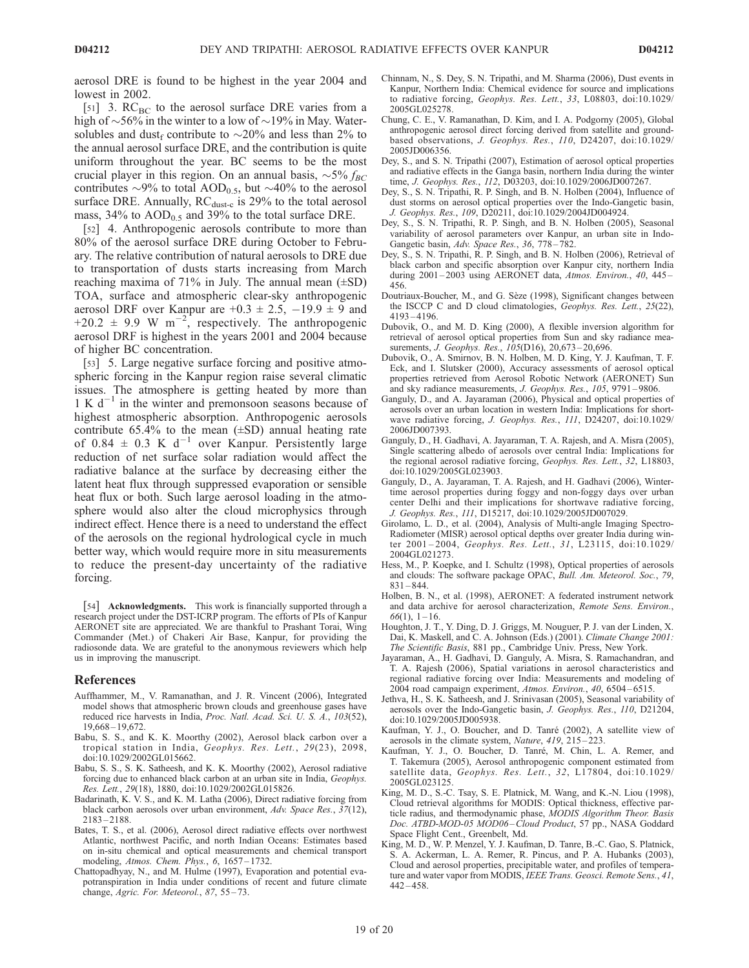aerosol DRE is found to be highest in the year 2004 and lowest in 2002.

[51] 3.  $RC_{BC}$  to the aerosol surface DRE varies from a high of  $\sim$ 56% in the winter to a low of  $\sim$ 19% in May. Watersolubles and dust<sub>f</sub> contribute to  $\sim$  20% and less than 2% to the annual aerosol surface DRE, and the contribution is quite uniform throughout the year. BC seems to be the most crucial player in this region. On an annual basis,  $\sim 5\% f_{BC}$ contributes  $\sim$ 9% to total AOD<sub>0.5</sub>, but  $\sim$ 40% to the aerosol surface DRE. Annually,  $RC_{dust-c}$  is 29% to the total aerosol mass,  $34\%$  to  $AOD_{0.5}$  and  $39\%$  to the total surface DRE.

[52] 4. Anthropogenic aerosols contribute to more than 80% of the aerosol surface DRE during October to February. The relative contribution of natural aerosols to DRE due to transportation of dusts starts increasing from March reaching maxima of 71% in July. The annual mean  $(\pm SD)$ TOA, surface and atmospheric clear-sky anthropogenic aerosol DRF over Kanpur are  $+0.3 \pm 2.5$ ,  $-19.9 \pm 9$  and  $+20.2 \pm 9.9 \text{ W m}^{-2}$ , respectively. The anthropogenic aerosol DRF is highest in the years 2001 and 2004 because of higher BC concentration.

[53] 5. Large negative surface forcing and positive atmospheric forcing in the Kanpur region raise several climatic issues. The atmosphere is getting heated by more than  $1 K d^{-1}$  in the winter and premonsoon seasons because of highest atmospheric absorption. Anthropogenic aerosols contribute  $65.4\%$  to the mean  $(\pm SD)$  annual heating rate of 0.84  $\pm$  0.3 K d<sup>-1</sup> over Kanpur. Persistently large reduction of net surface solar radiation would affect the radiative balance at the surface by decreasing either the latent heat flux through suppressed evaporation or sensible heat flux or both. Such large aerosol loading in the atmosphere would also alter the cloud microphysics through indirect effect. Hence there is a need to understand the effect of the aerosols on the regional hydrological cycle in much better way, which would require more in situ measurements to reduce the present-day uncertainty of the radiative forcing.

[54] Acknowledgments. This work is financially supported through a research project under the DST-ICRP program. The efforts of PIs of Kanpur AERONET site are appreciated. We are thankful to Prashant Torai, Wing Commander (Met.) of Chakeri Air Base, Kanpur, for providing the radiosonde data. We are grateful to the anonymous reviewers which help us in improving the manuscript.

#### References

- Auffhammer, M., V. Ramanathan, and J. R. Vincent (2006), Integrated model shows that atmospheric brown clouds and greenhouse gases have reduced rice harvests in India, Proc. Natl. Acad. Sci. U. S. A., 103(52), 19,668 – 19,672.
- Babu, S. S., and K. K. Moorthy (2002), Aerosol black carbon over a tropical station in India, Geophys. Res. Lett., 29(23), 2098, doi:10.1029/2002GL015662.
- Babu, S. S., S. K. Satheesh, and K. K. Moorthy (2002), Aerosol radiative forcing due to enhanced black carbon at an urban site in India, Geophys. Res. Lett., 29(18), 1880, doi:10.1029/2002GL015826.
- Badarinath, K. V. S., and K. M. Latha (2006), Direct radiative forcing from black carbon aerosols over urban environment, Adv. Space Res., 37(12), 2183 – 2188.
- Bates, T. S., et al. (2006), Aerosol direct radiative effects over northwest Atlantic, northwest Pacific, and north Indian Oceans: Estimates based on in-situ chemical and optical measurements and chemical transport modeling, Atmos. Chem.  $\hat{Ph}ys$ ., 6, 1657-1732.
- Chattopadhyay, N., and M. Hulme (1997), Evaporation and potential evapotranspiration in India under conditions of recent and future climate change, Agric. For. Meteorol., 87, 55-73.
- Chinnam, N., S. Dey, S. N. Tripathi, and M. Sharma (2006), Dust events in Kanpur, Northern India: Chemical evidence for source and implications to radiative forcing, Geophys. Res. Lett., 33, L08803, doi:10.1029/ 2005GL025278.
- Chung, C. E., V. Ramanathan, D. Kim, and I. A. Podgorny (2005), Global anthropogenic aerosol direct forcing derived from satellite and groundbased observations, J. Geophys. Res., 110, D24207, doi:10.1029/ 2005JD006356.
- Dey, S., and S. N. Tripathi (2007), Estimation of aerosol optical properties and radiative effects in the Ganga basin, northern India during the winter time, J. Geophys. Res., 112, D03203, doi:10.1029/2006JD007267.
- Dey, S., S. N. Tripathi, R. P. Singh, and B. N. Holben (2004), Influence of dust storms on aerosol optical properties over the Indo-Gangetic basin, J. Geophys. Res., 109, D20211, doi:10.1029/2004JD004924.
- Dey, S., S. N. Tripathi, R. P. Singh, and B. N. Holben (2005), Seasonal variability of aerosol parameters over Kanpur, an urban site in Indo-Gangetic basin, Adv. Space Res., 36, 778-782.
- Dey, S., S. N. Tripathi, R. P. Singh, and B. N. Holben (2006), Retrieval of black carbon and specific absorption over Kanpur city, northern India during 2001-2003 using AERONET data, Atmos. Environ., 40, 445-456.
- Doutriaux-Boucher, M., and G. Sèze (1998), Significant changes between the ISCCP C and D cloud climatologies, Geophys. Res. Lett., 25(22), 4193 – 4196.
- Dubovik, O., and M. D. King (2000), A flexible inversion algorithm for retrieval of aerosol optical properties from Sun and sky radiance measurements, *J. Geophys. Res.*, 105(D16), 20,673-20,696.
- Dubovik, O., A. Smirnov, B. N. Holben, M. D. King, Y. J. Kaufman, T. F. Eck, and I. Slutsker (2000), Accuracy assessments of aerosol optical properties retrieved from Aerosol Robotic Network (AERONET) Sun and sky radiance measurements, J. Geophys. Res., 105, 9791 – 9806.
- Ganguly, D., and A. Jayaraman (2006), Physical and optical properties of aerosols over an urban location in western India: Implications for shortwave radiative forcing, J. Geophys. Res., 111, D24207, doi:10.1029/ 2006JD007393.
- Ganguly, D., H. Gadhavi, A. Jayaraman, T. A. Rajesh, and A. Misra (2005), Single scattering albedo of aerosols over central India: Implications for the regional aerosol radiative forcing, Geophys. Res. Lett., 32, L18803, doi:10.1029/2005GL023903.
- Ganguly, D., A. Jayaraman, T. A. Rajesh, and H. Gadhavi (2006), Wintertime aerosol properties during foggy and non-foggy days over urban center Delhi and their implications for shortwave radiative forcing, J. Geophys. Res., 111, D15217, doi:10.1029/2005JD007029.
- Girolamo, L. D., et al. (2004), Analysis of Multi-angle Imaging Spectro-Radiometer (MISR) aerosol optical depths over greater India during winter 2001 – 2004, Geophys. Res. Lett., 31, L23115, doi:10.1029/ 2004GL021273.
- Hess, M., P. Koepke, and I. Schultz (1998), Optical properties of aerosols and clouds: The software package OPAC, Bull. Am. Meteorol. Soc., 79,  $831 - 844.$
- Holben, B. N., et al. (1998), AERONET: A federated instrument network and data archive for aerosol characterization, Remote Sens. Environ.,  $66(1), 1 - 16.$
- Houghton, J. T., Y. Ding, D. J. Griggs, M. Nouguer, P. J. van der Linden, X. Dai, K. Maskell, and C. A. Johnson (Eds.) (2001). Climate Change 2001: The Scientific Basis, 881 pp., Cambridge Univ. Press, New York.
- Jayaraman, A., H. Gadhavi, D. Ganguly, A. Misra, S. Ramachandran, and T. A. Rajesh (2006), Spatial variations in aerosol characteristics and regional radiative forcing over India: Measurements and modeling of 2004 road campaign experiment, Atmos. Environ., 40, 6504-6515.
- Jethva, H., S. K. Satheesh, and J. Srinivasan (2005), Seasonal variability of aerosols over the Indo-Gangetic basin, J. Geophys. Res., 110, D21204, doi:10.1029/2005JD005938.
- Kaufman, Y. J., O. Boucher, and D. Tanré (2002), A satellite view of aerosols in the climate system, Nature, 419, 215-223.
- Kaufman, Y. J., O. Boucher, D. Tanré, M. Chin, L. A. Remer, and T. Takemura (2005), Aerosol anthropogenic component estimated from satellite data, Geophys. Res. Lett., 32, L17804, doi:10.1029/ 2005GL023125.
- King, M. D., S.-C. Tsay, S. E. Platnick, M. Wang, and K.-N. Liou (1998), Cloud retrieval algorithms for MODIS: Optical thickness, effective particle radius, and thermodynamic phase, MODIS Algorithm Theor. Basis Doc. ATBD-MOD-05 MOD06-Cloud Product, 57 pp., NASA Goddard Space Flight Cent., Greenbelt, Md.
- King, M. D., W. P. Menzel, Y. J. Kaufman, D. Tanre, B.-C. Gao, S. Platnick, S. A. Ackerman, L. A. Remer, R. Pincus, and P. A. Hubanks (2003), Cloud and aerosol properties, precipitable water, and profiles of temperature and water vapor from MODIS, IEEE Trans. Geosci. Remote Sens., 41,  $442 - 458$ .